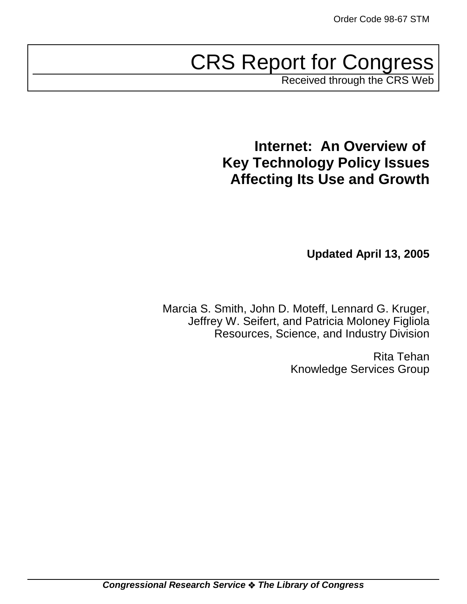# CRS Report for Congress

Received through the CRS Web

# **Internet: An Overview of Key Technology Policy Issues Affecting Its Use and Growth**

**Updated April 13, 2005**

Marcia S. Smith, John D. Moteff, Lennard G. Kruger, Jeffrey W. Seifert, and Patricia Moloney Figliola Resources, Science, and Industry Division

> Rita Tehan Knowledge Services Group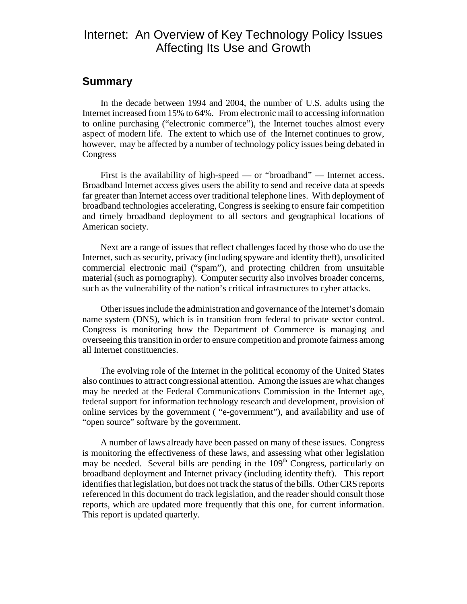### Internet: An Overview of Key Technology Policy Issues Affecting Its Use and Growth

### **Summary**

In the decade between 1994 and 2004, the number of U.S. adults using the Internet increased from 15% to 64%. From electronic mail to accessing information to online purchasing ("electronic commerce"), the Internet touches almost every aspect of modern life. The extent to which use of the Internet continues to grow, however, may be affected by a number of technology policy issues being debated in **Congress** 

First is the availability of high-speed — or "broadband" — Internet access. Broadband Internet access gives users the ability to send and receive data at speeds far greater than Internet access over traditional telephone lines. With deployment of broadband technologies accelerating, Congress is seeking to ensure fair competition and timely broadband deployment to all sectors and geographical locations of American society.

Next are a range of issues that reflect challenges faced by those who do use the Internet, such as security, privacy (including spyware and identity theft), unsolicited commercial electronic mail ("spam"), and protecting children from unsuitable material (such as pornography). Computer security also involves broader concerns, such as the vulnerability of the nation's critical infrastructures to cyber attacks.

Other issues include the administration and governance of the Internet's domain name system (DNS), which is in transition from federal to private sector control. Congress is monitoring how the Department of Commerce is managing and overseeing this transition in order to ensure competition and promote fairness among all Internet constituencies.

The evolving role of the Internet in the political economy of the United States also continues to attract congressional attention. Among the issues are what changes may be needed at the Federal Communications Commission in the Internet age, federal support for information technology research and development, provision of online services by the government ( "e-government"), and availability and use of "open source" software by the government.

A number of laws already have been passed on many of these issues. Congress is monitoring the effectiveness of these laws, and assessing what other legislation may be needed. Several bills are pending in the 109<sup>th</sup> Congress, particularly on broadband deployment and Internet privacy (including identity theft). This report identifies that legislation, but does not track the status of the bills. Other CRS reports referenced in this document do track legislation, and the reader should consult those reports, which are updated more frequently that this one, for current information. This report is updated quarterly.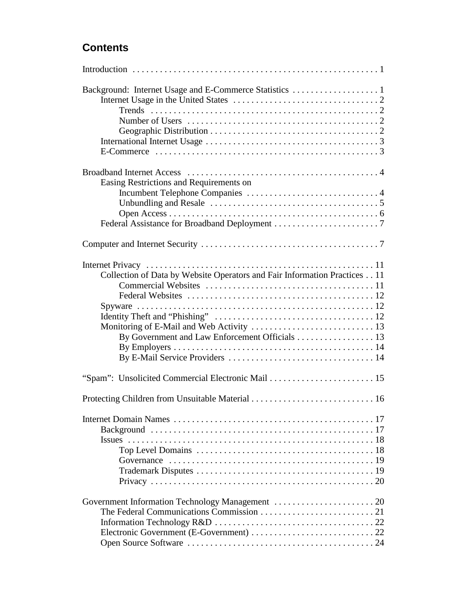### **Contents**

| Number of Users $\dots \dots \dots \dots \dots \dots \dots \dots \dots \dots \dots \dots \dots 2$<br>E-Commerce $\dots \dots \dots \dots \dots \dots \dots \dots \dots \dots \dots \dots \dots \dots \dots \dots$ |  |
|-------------------------------------------------------------------------------------------------------------------------------------------------------------------------------------------------------------------|--|
| Easing Restrictions and Requirements on                                                                                                                                                                           |  |
|                                                                                                                                                                                                                   |  |
|                                                                                                                                                                                                                   |  |
|                                                                                                                                                                                                                   |  |
|                                                                                                                                                                                                                   |  |
|                                                                                                                                                                                                                   |  |
| Collection of Data by Website Operators and Fair Information Practices 11<br>By Government and Law Enforcement Officials 13                                                                                       |  |
| "Spam": Unsolicited Commercial Electronic Mail  15                                                                                                                                                                |  |
|                                                                                                                                                                                                                   |  |
| Top Level Domains $\ldots \ldots \ldots \ldots \ldots \ldots \ldots \ldots \ldots \ldots \ldots \ldots \ldots 18$                                                                                                 |  |
|                                                                                                                                                                                                                   |  |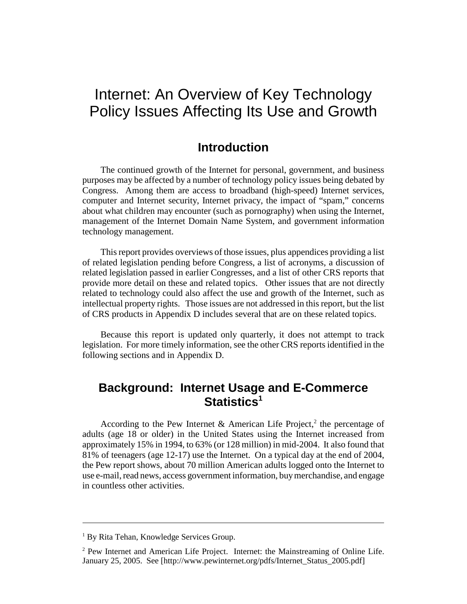# Internet: An Overview of Key Technology Policy Issues Affecting Its Use and Growth

### **Introduction**

The continued growth of the Internet for personal, government, and business purposes may be affected by a number of technology policy issues being debated by Congress. Among them are access to broadband (high-speed) Internet services, computer and Internet security, Internet privacy, the impact of "spam," concerns about what children may encounter (such as pornography) when using the Internet, management of the Internet Domain Name System, and government information technology management.

This report provides overviews of those issues, plus appendices providing a list of related legislation pending before Congress, a list of acronyms, a discussion of related legislation passed in earlier Congresses, and a list of other CRS reports that provide more detail on these and related topics. Other issues that are not directly related to technology could also affect the use and growth of the Internet, such as intellectual property rights. Those issues are not addressed in this report, but the list of CRS products in Appendix D includes several that are on these related topics.

Because this report is updated only quarterly, it does not attempt to track legislation. For more timely information, see the other CRS reports identified in the following sections and in Appendix D.

### **Background: Internet Usage and E-Commerce** Statistics<sup>1</sup>

According to the Pew Internet & American Life Project,<sup>2</sup> the percentage of adults (age 18 or older) in the United States using the Internet increased from approximately 15% in 1994, to 63% (or 128 million) in mid-2004. It also found that 81% of teenagers (age 12-17) use the Internet. On a typical day at the end of 2004, the Pew report shows, about 70 million American adults logged onto the Internet to use e-mail, read news, access government information, buy merchandise, and engage in countless other activities.

<sup>&</sup>lt;sup>1</sup> By Rita Tehan, Knowledge Services Group.

 $2$  Pew Internet and American Life Project. Internet: the Mainstreaming of Online Life. January 25, 2005. See [http://www.pewinternet.org/pdfs/Internet\_Status\_2005.pdf]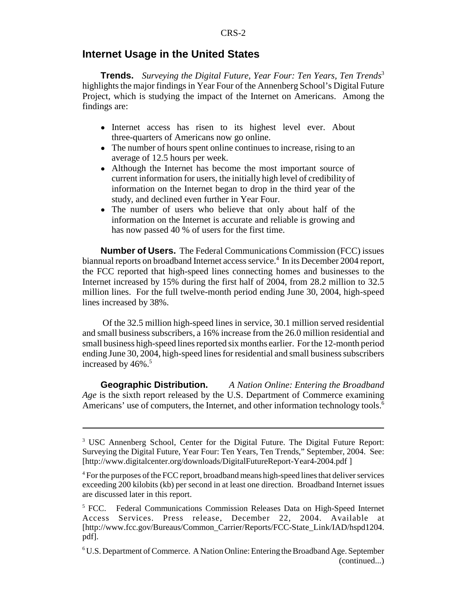#### **Internet Usage in the United States**

**Trends.** *Surveying the Digital Future, Year Four: Ten Years, Ten Trends*<sup>3</sup> highlights the major findings in Year Four of the Annenberg School's Digital Future Project, which is studying the impact of the Internet on Americans. Among the findings are:

- Internet access has risen to its highest level ever. About three-quarters of Americans now go online.
- The number of hours spent online continues to increase, rising to an average of 12.5 hours per week.
- Although the Internet has become the most important source of current information for users, the initially high level of credibility of information on the Internet began to drop in the third year of the study, and declined even further in Year Four.
- The number of users who believe that only about half of the information on the Internet is accurate and reliable is growing and has now passed 40 % of users for the first time.

**Number of Users.** The Federal Communications Commission (FCC) issues biannual reports on broadband Internet access service.<sup>4</sup> In its December 2004 report, the FCC reported that high-speed lines connecting homes and businesses to the Internet increased by 15% during the first half of 2004, from 28.2 million to 32.5 million lines. For the full twelve-month period ending June 30, 2004, high-speed lines increased by 38%.

 Of the 32.5 million high-speed lines in service, 30.1 million served residential and small business subscribers, a 16% increase from the 26.0 million residential and small business high-speed lines reported six months earlier. For the 12-month period ending June 30, 2004, high-speed lines for residential and small business subscribers increased by  $46\%$ .<sup>5</sup>

**Geographic Distribution.** *A Nation Online: Entering the Broadband Age* is the sixth report released by the U.S. Department of Commerce examining Americans' use of computers, the Internet, and other information technology tools.<sup>6</sup>

<sup>&</sup>lt;sup>3</sup> USC Annenberg School, Center for the Digital Future. The Digital Future Report: Surveying the Digital Future, Year Four: Ten Years, Ten Trends," September, 2004. See: [http://www.digitalcenter.org/downloads/DigitalFutureReport-Year4-2004.pdf ]

<sup>&</sup>lt;sup>4</sup> For the purposes of the FCC report, broadband means high-speed lines that deliver services exceeding 200 kilobits (kb) per second in at least one direction. Broadband Internet issues are discussed later in this report.

<sup>&</sup>lt;sup>5</sup> FCC. Federal Communications Commission Releases Data on High-Speed Internet Access Services. Press release, December 22, 2004. Available at [http://www.fcc.gov/Bureaus/Common\_Carrier/Reports/FCC-State\_Link/IAD/hspd1204. pdf].

<sup>6</sup> U.S. Department of Commerce. A Nation Online: Entering the Broadband Age. September (continued...)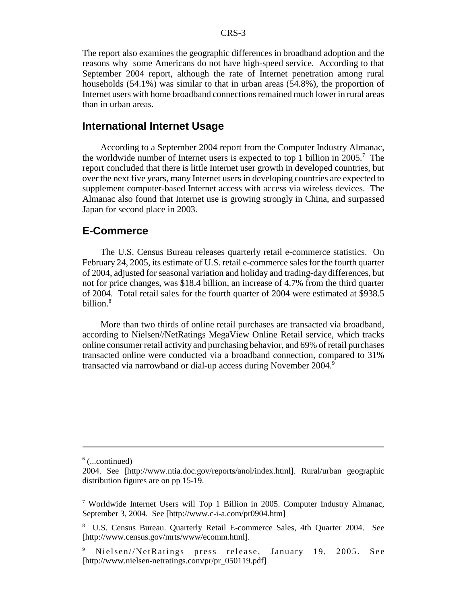The report also examines the geographic differences in broadband adoption and the reasons why some Americans do not have high-speed service. According to that September 2004 report, although the rate of Internet penetration among rural households (54.1%) was similar to that in urban areas (54.8%), the proportion of Internet users with home broadband connections remained much lower in rural areas than in urban areas.

#### **International Internet Usage**

According to a September 2004 report from the Computer Industry Almanac, the worldwide number of Internet users is expected to top 1 billion in 2005.<sup>7</sup> The report concluded that there is little Internet user growth in developed countries, but over the next five years, many Internet users in developing countries are expected to supplement computer-based Internet access with access via wireless devices. The Almanac also found that Internet use is growing strongly in China, and surpassed Japan for second place in 2003.

#### **E-Commerce**

The U.S. Census Bureau releases quarterly retail e-commerce statistics. On February 24, 2005, its estimate of U.S. retail e-commerce sales for the fourth quarter of 2004, adjusted for seasonal variation and holiday and trading-day differences, but not for price changes, was \$18.4 billion, an increase of 4.7% from the third quarter of 2004. Total retail sales for the fourth quarter of 2004 were estimated at \$938.5 billion.8

More than two thirds of online retail purchases are transacted via broadband, according to Nielsen//NetRatings MegaView Online Retail service, which tracks online consumer retail activity and purchasing behavior, and 69% of retail purchases transacted online were conducted via a broadband connection, compared to 31% transacted via narrowband or dial-up access during November 2004.<sup>9</sup>

 $6$  (...continued)

<sup>2004.</sup> See [http://www.ntia.doc.gov/reports/anol/index.html]. Rural/urban geographic distribution figures are on pp 15-19.

<sup>7</sup> Worldwide Internet Users will Top 1 Billion in 2005. Computer Industry Almanac, September 3, 2004. See [http://www.c-i-a.com/pr0904.htm]

<sup>8</sup> U.S. Census Bureau. Quarterly Retail E-commerce Sales, 4th Quarter 2004. See [http://www.census.gov/mrts/www/ecomm.html].

<sup>9</sup> Nielsen//NetRatings press release, January 19, 2005. See [http://www.nielsen-netratings.com/pr/pr\_050119.pdf]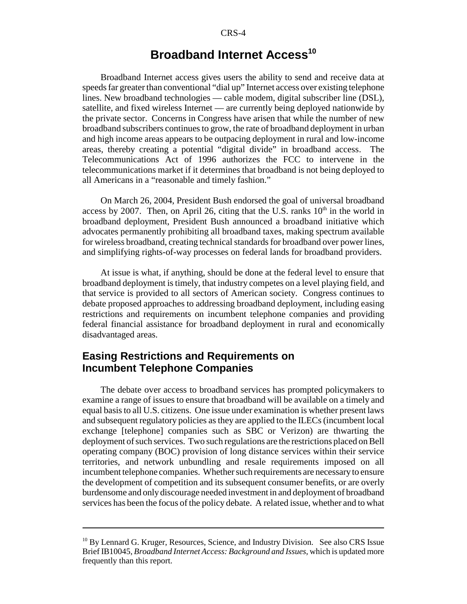### **Broadband Internet Access<sup>10</sup>**

Broadband Internet access gives users the ability to send and receive data at speeds far greater than conventional "dial up" Internet access over existing telephone lines. New broadband technologies — cable modem, digital subscriber line (DSL), satellite, and fixed wireless Internet — are currently being deployed nationwide by the private sector. Concerns in Congress have arisen that while the number of new broadband subscribers continues to grow, the rate of broadband deployment in urban and high income areas appears to be outpacing deployment in rural and low-income areas, thereby creating a potential "digital divide" in broadband access. The Telecommunications Act of 1996 authorizes the FCC to intervene in the telecommunications market if it determines that broadband is not being deployed to all Americans in a "reasonable and timely fashion."

On March 26, 2004, President Bush endorsed the goal of universal broadband access by 2007. Then, on April 26, citing that the U.S. ranks  $10<sup>th</sup>$  in the world in broadband deployment, President Bush announced a broadband initiative which advocates permanently prohibiting all broadband taxes, making spectrum available for wireless broadband, creating technical standards for broadband over power lines, and simplifying rights-of-way processes on federal lands for broadband providers.

At issue is what, if anything, should be done at the federal level to ensure that broadband deployment is timely, that industry competes on a level playing field, and that service is provided to all sectors of American society. Congress continues to debate proposed approaches to addressing broadband deployment, including easing restrictions and requirements on incumbent telephone companies and providing federal financial assistance for broadband deployment in rural and economically disadvantaged areas.

### **Easing Restrictions and Requirements on Incumbent Telephone Companies**

The debate over access to broadband services has prompted policymakers to examine a range of issues to ensure that broadband will be available on a timely and equal basis to all U.S. citizens. One issue under examination is whether present laws and subsequent regulatory policies as they are applied to the ILECs (incumbent local exchange [telephone] companies such as SBC or Verizon) are thwarting the deployment of such services. Two such regulations are the restrictions placed on Bell operating company (BOC) provision of long distance services within their service territories, and network unbundling and resale requirements imposed on all incumbent telephone companies. Whether such requirements are necessary to ensure the development of competition and its subsequent consumer benefits, or are overly burdensome and only discourage needed investment in and deployment of broadband services has been the focus of the policy debate. A related issue, whether and to what

<sup>&</sup>lt;sup>10</sup> By Lennard G. Kruger, Resources, Science, and Industry Division. See also CRS Issue Brief IB10045, *Broadband Internet Access: Background and Issues*, which is updated more frequently than this report.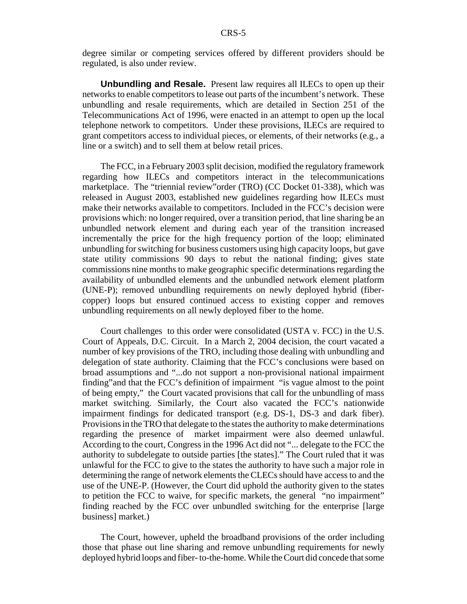degree similar or competing services offered by different providers should be regulated, is also under review.

**Unbundling and Resale.** Present law requires all ILECs to open up their networks to enable competitors to lease out parts of the incumbent's network. These unbundling and resale requirements, which are detailed in Section 251 of the Telecommunications Act of 1996, were enacted in an attempt to open up the local telephone network to competitors. Under these provisions, ILECs are required to grant competitors access to individual pieces, or elements, of their networks (e.g., a line or a switch) and to sell them at below retail prices.

The FCC, in a February 2003 split decision, modified the regulatory framework regarding how ILECs and competitors interact in the telecommunications marketplace. The "triennial review"order (TRO) (CC Docket 01-338), which was released in August 2003, established new guidelines regarding how ILECs must make their networks available to competitors. Included in the FCC's decision were provisions which: no longer required, over a transition period, that line sharing be an unbundled network element and during each year of the transition increased incrementally the price for the high frequency portion of the loop; eliminated unbundling for switching for business customers using high capacity loops, but gave state utility commissions 90 days to rebut the national finding; gives state commissions nine months to make geographic specific determinations regarding the availability of unbundled elements and the unbundled network element platform (UNE-P); removed unbundling requirements on newly deployed hybrid (fibercopper) loops but ensured continued access to existing copper and removes unbundling requirements on all newly deployed fiber to the home.

Court challenges to this order were consolidated (USTA v. FCC) in the U.S. Court of Appeals, D.C. Circuit. In a March 2, 2004 decision, the court vacated a number of key provisions of the TRO, including those dealing with unbundling and delegation of state authority. Claiming that the FCC's conclusions were based on broad assumptions and "...do not support a non-provisional national impairment finding"and that the FCC's definition of impairment "is vague almost to the point of being empty," the Court vacated provisions that call for the unbundling of mass market switching. Similarly, the Court also vacated the FCC's nationwide impairment findings for dedicated transport (e.g. DS-1, DS-3 and dark fiber). Provisions in the TRO that delegate to the states the authority to make determinations regarding the presence of market impairment were also deemed unlawful. According to the court, Congress in the 1996 Act did not "... delegate to the FCC the authority to subdelegate to outside parties [the states]." The Court ruled that it was unlawful for the FCC to give to the states the authority to have such a major role in determining the range of network elements the CLECs should have access to and the use of the UNE-P. (However, the Court did uphold the authority given to the states to petition the FCC to waive, for specific markets, the general "no impairment" finding reached by the FCC over unbundled switching for the enterprise [large business] market.)

The Court, however, upheld the broadband provisions of the order including those that phase out line sharing and remove unbundling requirements for newly deployed hybrid loops and fiber- to-the-home. While the Court did concede that some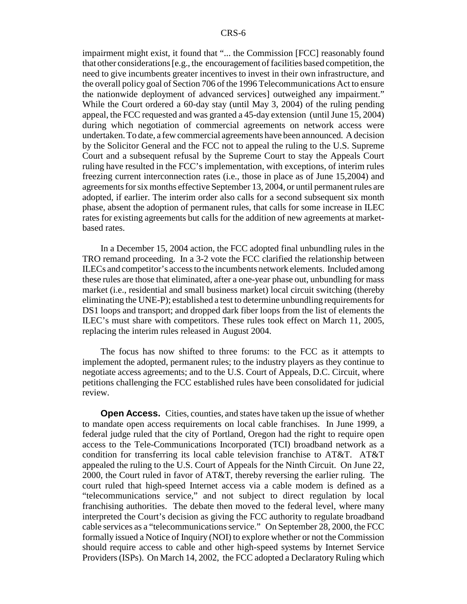impairment might exist, it found that "... the Commission [FCC] reasonably found that other considerations [e.g., the encouragement of facilities based competition, the need to give incumbents greater incentives to invest in their own infrastructure, and the overall policy goal of Section 706 of the 1996 Telecommunications Act to ensure the nationwide deployment of advanced services] outweighed any impairment." While the Court ordered a 60-day stay (until May 3, 2004) of the ruling pending appeal, the FCC requested and was granted a 45-day extension (until June 15, 2004) during which negotiation of commercial agreements on network access were undertaken. To date, a few commercial agreements have been announced. A decision by the Solicitor General and the FCC not to appeal the ruling to the U.S. Supreme Court and a subsequent refusal by the Supreme Court to stay the Appeals Court ruling have resulted in the FCC's implementation, with exceptions, of interim rules freezing current interconnection rates (i.e., those in place as of June 15,2004) and agreements for six months effective September 13, 2004, or until permanent rules are adopted, if earlier. The interim order also calls for a second subsequent six month phase, absent the adoption of permanent rules, that calls for some increase in ILEC rates for existing agreements but calls for the addition of new agreements at marketbased rates.

In a December 15, 2004 action, the FCC adopted final unbundling rules in the TRO remand proceeding. In a 3-2 vote the FCC clarified the relationship between ILECs and competitor's access to the incumbents network elements. Included among these rules are those that eliminated, after a one-year phase out, unbundling for mass market (i.e., residential and small business market) local circuit switching (thereby eliminating the UNE-P); established a test to determine unbundling requirements for DS1 loops and transport; and dropped dark fiber loops from the list of elements the ILEC's must share with competitors. These rules took effect on March 11, 2005, replacing the interim rules released in August 2004.

The focus has now shifted to three forums: to the FCC as it attempts to implement the adopted, permanent rules; to the industry players as they continue to negotiate access agreements; and to the U.S. Court of Appeals, D.C. Circuit, where petitions challenging the FCC established rules have been consolidated for judicial review.

**Open Access.** Cities, counties, and states have taken up the issue of whether to mandate open access requirements on local cable franchises. In June 1999, a federal judge ruled that the city of Portland, Oregon had the right to require open access to the Tele-Communications Incorporated (TCI) broadband network as a condition for transferring its local cable television franchise to AT&T. AT&T appealed the ruling to the U.S. Court of Appeals for the Ninth Circuit. On June 22, 2000, the Court ruled in favor of AT&T, thereby reversing the earlier ruling. The court ruled that high-speed Internet access via a cable modem is defined as a "telecommunications service," and not subject to direct regulation by local franchising authorities. The debate then moved to the federal level, where many interpreted the Court's decision as giving the FCC authority to regulate broadband cable services as a "telecommunications service." On September 28, 2000, the FCC formally issued a Notice of Inquiry (NOI) to explore whether or not the Commission should require access to cable and other high-speed systems by Internet Service Providers (ISPs). On March 14, 2002, the FCC adopted a Declaratory Ruling which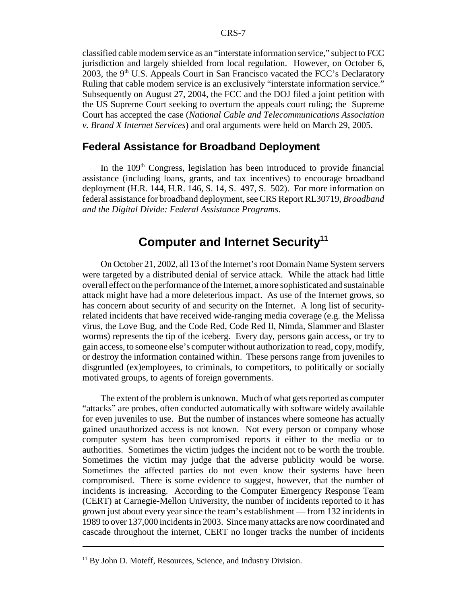classified cable modem service as an "interstate information service," subject to FCC jurisdiction and largely shielded from local regulation. However, on October 6, 2003, the  $9<sup>th</sup>$  U.S. Appeals Court in San Francisco vacated the FCC's Declaratory Ruling that cable modem service is an exclusively "interstate information service." Subsequently on August 27, 2004, the FCC and the DOJ filed a joint petition with the US Supreme Court seeking to overturn the appeals court ruling; the Supreme Court has accepted the case (*National Cable and Telecommunications Association v. Brand X Internet Services*) and oral arguments were held on March 29, 2005.

#### **Federal Assistance for Broadband Deployment**

In the  $109<sup>th</sup>$  Congress, legislation has been introduced to provide financial assistance (including loans, grants, and tax incentives) to encourage broadband deployment (H.R. 144, H.R. 146, S. 14, S. 497, S. 502). For more information on federal assistance for broadband deployment, see CRS Report RL30719, *Broadband and the Digital Divide: Federal Assistance Programs*.

### **Computer and Internet Security11**

On October 21, 2002, all 13 of the Internet's root Domain Name System servers were targeted by a distributed denial of service attack. While the attack had little overall effect on the performance of the Internet, a more sophisticated and sustainable attack might have had a more deleterious impact. As use of the Internet grows, so has concern about security of and security on the Internet. A long list of securityrelated incidents that have received wide-ranging media coverage (e.g. the Melissa virus, the Love Bug, and the Code Red, Code Red II, Nimda, Slammer and Blaster worms) represents the tip of the iceberg. Every day, persons gain access, or try to gain access, to someone else's computer without authorization to read, copy, modify, or destroy the information contained within. These persons range from juveniles to disgruntled (ex)employees, to criminals, to competitors, to politically or socially motivated groups, to agents of foreign governments.

The extent of the problem is unknown. Much of what gets reported as computer "attacks" are probes, often conducted automatically with software widely available for even juveniles to use. But the number of instances where someone has actually gained unauthorized access is not known. Not every person or company whose computer system has been compromised reports it either to the media or to authorities. Sometimes the victim judges the incident not to be worth the trouble. Sometimes the victim may judge that the adverse publicity would be worse. Sometimes the affected parties do not even know their systems have been compromised. There is some evidence to suggest, however, that the number of incidents is increasing. According to the Computer Emergency Response Team (CERT) at Carnegie-Mellon University, the number of incidents reported to it has grown just about every year since the team's establishment — from 132 incidents in 1989 to over 137,000 incidents in 2003. Since many attacks are now coordinated and cascade throughout the internet, CERT no longer tracks the number of incidents

 $11$  By John D. Moteff, Resources, Science, and Industry Division.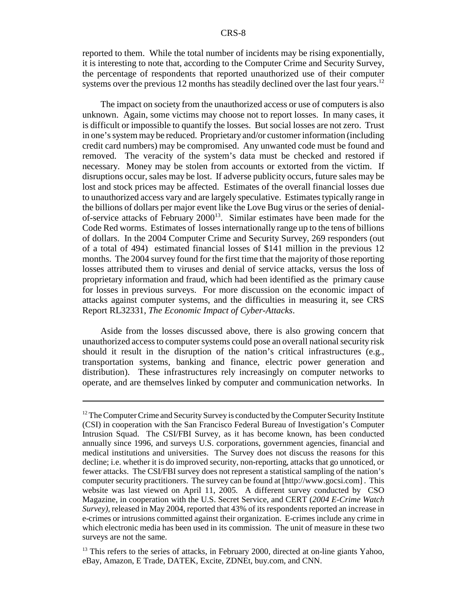reported to them. While the total number of incidents may be rising exponentially, it is interesting to note that, according to the Computer Crime and Security Survey, the percentage of respondents that reported unauthorized use of their computer systems over the previous 12 months has steadily declined over the last four years.<sup>12</sup>

The impact on society from the unauthorized access or use of computers is also unknown. Again, some victims may choose not to report losses. In many cases, it is difficult or impossible to quantify the losses. But social losses are not zero. Trust in one's system may be reduced. Proprietary and/or customer information (including credit card numbers) may be compromised. Any unwanted code must be found and removed. The veracity of the system's data must be checked and restored if necessary. Money may be stolen from accounts or extorted from the victim. If disruptions occur, sales may be lost. If adverse publicity occurs, future sales may be lost and stock prices may be affected. Estimates of the overall financial losses due to unauthorized access vary and are largely speculative. Estimates typically range in the billions of dollars per major event like the Love Bug virus or the series of denialof-service attacks of February  $2000^{13}$ . Similar estimates have been made for the Code Red worms. Estimates of losses internationally range up to the tens of billions of dollars. In the 2004 Computer Crime and Security Survey, 269 responders (out of a total of 494) estimated financial losses of \$141 million in the previous 12 months. The 2004 survey found for the first time that the majority of those reporting losses attributed them to viruses and denial of service attacks, versus the loss of proprietary information and fraud, which had been identified as the primary cause for losses in previous surveys. For more discussion on the economic impact of attacks against computer systems, and the difficulties in measuring it, see CRS Report RL32331, *The Economic Impact of Cyber-Attacks*.

Aside from the losses discussed above, there is also growing concern that unauthorized access to computer systems could pose an overall national security risk should it result in the disruption of the nation's critical infrastructures (e.g., transportation systems, banking and finance, electric power generation and distribution). These infrastructures rely increasingly on computer networks to operate, and are themselves linked by computer and communication networks. In

 $13$  This refers to the series of attacks, in February 2000, directed at on-line giants Yahoo, eBay, Amazon, E Trade, DATEK, Excite, ZDNEt, buy.com, and CNN.

 $12$  The Computer Crime and Security Survey is conducted by the Computer Security Institute (CSI) in cooperation with the San Francisco Federal Bureau of Investigation's Computer Intrusion Squad. The CSI/FBI Survey, as it has become known, has been conducted annually since 1996, and surveys U.S. corporations, government agencies, financial and medical institutions and universities. The Survey does not discuss the reasons for this decline; i.e. whether it is do improved security, non-reporting, attacks that go unnoticed, or fewer attacks. The CSI/FBI survey does not represent a statistical sampling of the nation's computer security practitioners. The survey can be found at [http://www.gocsi.com] . This website was last viewed on April 11, 2005. A different survey conducted by CSO Magazine, in cooperation with the U.S. Secret Service, and CERT (*2004 E-Crime Watch Survey),* released in May 2004, reported that 43% of its respondents reported an increase in e-crimes or intrusions committed against their organization. E-crimes include any crime in which electronic media has been used in its commission. The unit of measure in these two surveys are not the same.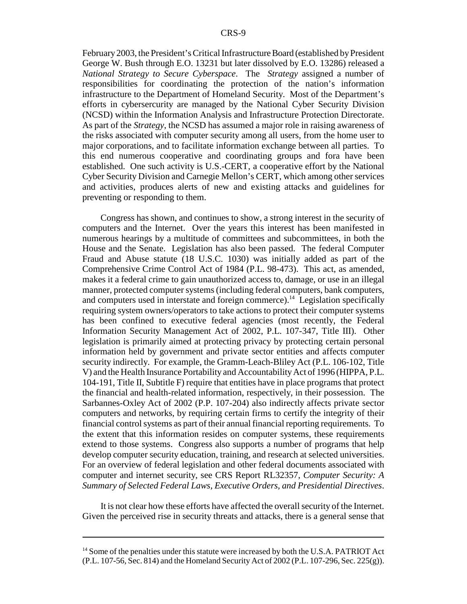February 2003, the President's Critical Infrastructure Board (established by President George W. Bush through E.O. 13231 but later dissolved by E.O. 13286) released a *National Strategy to Secure Cyberspace*. The *Strategy* assigned a number of responsibilities for coordinating the protection of the nation's information infrastructure to the Department of Homeland Security. Most of the Department's efforts in cybersercurity are managed by the National Cyber Security Division (NCSD) within the Information Analysis and Infrastructure Protection Directorate. As part of the *Strategy*, the NCSD has assumed a major role in raising awareness of the risks associated with computer security among all users, from the home user to major corporations, and to facilitate information exchange between all parties. To this end numerous cooperative and coordinating groups and fora have been established. One such activity is U.S.-CERT, a cooperative effort by the National Cyber Security Division and Carnegie Mellon's CERT, which among other services and activities, produces alerts of new and existing attacks and guidelines for preventing or responding to them.

Congress has shown, and continues to show, a strong interest in the security of computers and the Internet. Over the years this interest has been manifested in numerous hearings by a multitude of committees and subcommittees, in both the House and the Senate. Legislation has also been passed. The federal Computer Fraud and Abuse statute (18 U.S.C. 1030) was initially added as part of the Comprehensive Crime Control Act of 1984 (P.L. 98-473). This act, as amended, makes it a federal crime to gain unauthorized access to, damage, or use in an illegal manner, protected computer systems (including federal computers, bank computers, and computers used in interstate and foreign commerce).<sup>14</sup> Legislation specifically requiring system owners/operators to take actions to protect their computer systems has been confined to executive federal agencies (most recently, the Federal Information Security Management Act of 2002, P.L. 107-347, Title III). Other legislation is primarily aimed at protecting privacy by protecting certain personal information held by government and private sector entities and affects computer security indirectly. For example, the Gramm-Leach-Bliley Act (P.L. 106-102, Title V) and the Health Insurance Portability and Accountability Act of 1996 (HIPPA, P.L. 104-191, Title II, Subtitle F) require that entities have in place programs that protect the financial and health-related information, respectively, in their possession. The Sarbannes-Oxley Act of 2002 (P.P. 107-204) also indirectly affects private sector computers and networks, by requiring certain firms to certify the integrity of their financial control systems as part of their annual financial reporting requirements. To the extent that this information resides on computer systems, these requirements extend to those systems. Congress also supports a number of programs that help develop computer security education, training, and research at selected universities. For an overview of federal legislation and other federal documents associated with computer and internet security, see CRS Report RL32357, *Computer Security: A Summary of Selected Federal Laws, Executive Orders, and Presidential Directives*.

It is not clear how these efforts have affected the overall security of the Internet. Given the perceived rise in security threats and attacks, there is a general sense that

<sup>&</sup>lt;sup>14</sup> Some of the penalties under this statute were increased by both the U.S.A. PATRIOT Act (P.L. 107-56, Sec. 814) and the Homeland Security Act of 2002 (P.L. 107-296, Sec. 225(g)).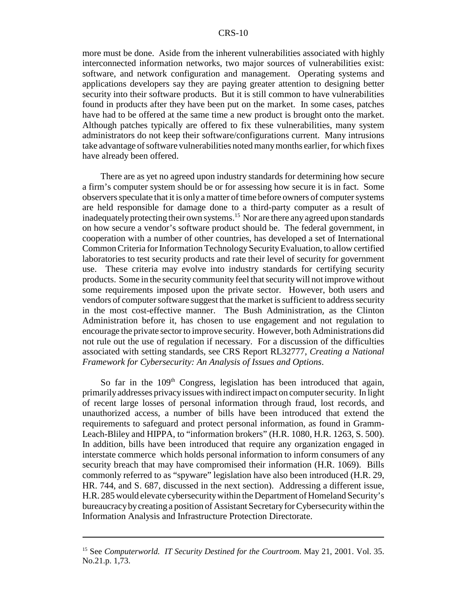more must be done. Aside from the inherent vulnerabilities associated with highly interconnected information networks, two major sources of vulnerabilities exist: software, and network configuration and management. Operating systems and applications developers say they are paying greater attention to designing better security into their software products. But it is still common to have vulnerabilities found in products after they have been put on the market. In some cases, patches have had to be offered at the same time a new product is brought onto the market. Although patches typically are offered to fix these vulnerabilities, many system administrators do not keep their software/configurations current. Many intrusions take advantage of software vulnerabilities noted many months earlier, for which fixes have already been offered.

There are as yet no agreed upon industry standards for determining how secure a firm's computer system should be or for assessing how secure it is in fact. Some observers speculate that it is only a matter of time before owners of computer systems are held responsible for damage done to a third-party computer as a result of inadequately protecting their own systems.<sup>15</sup> Nor are there any agreed upon standards on how secure a vendor's software product should be. The federal government, in cooperation with a number of other countries, has developed a set of International Common Criteria for Information Technology Security Evaluation, to allow certified laboratories to test security products and rate their level of security for government use. These criteria may evolve into industry standards for certifying security products. Some in the security community feel that security will not improve without some requirements imposed upon the private sector. However, both users and vendors of computer software suggest that the market is sufficient to address security in the most cost-effective manner. The Bush Administration, as the Clinton Administration before it, has chosen to use engagement and not regulation to encourage the private sector to improve security. However, both Administrations did not rule out the use of regulation if necessary. For a discussion of the difficulties associated with setting standards, see CRS Report RL32777, *Creating a National Framework for Cybersecurity: An Analysis of Issues and Options*.

So far in the 109<sup>th</sup> Congress, legislation has been introduced that again, primarily addresses privacy issues with indirect impact on computer security. In light of recent large losses of personal information through fraud, lost records, and unauthorized access, a number of bills have been introduced that extend the requirements to safeguard and protect personal information, as found in Gramm-Leach-Bliley and HIPPA, to "information brokers" (H.R. 1080, H.R. 1263, S. 500). In addition, bills have been introduced that require any organization engaged in interstate commerce which holds personal information to inform consumers of any security breach that may have compromised their information (H.R. 1069). Bills commonly referred to as "spyware" legislation have also been introduced (H.R. 29, HR. 744, and S. 687, discussed in the next section). Addressing a different issue, H.R. 285 would elevate cybersecurity within the Department of Homeland Security's bureaucracy by creating a position of Assistant Secretary for Cybersecurity within the Information Analysis and Infrastructure Protection Directorate.

<sup>15</sup> See *Computerworld. IT Security Destined for the Courtroom*. May 21, 2001. Vol. 35. No.21.p. 1,73.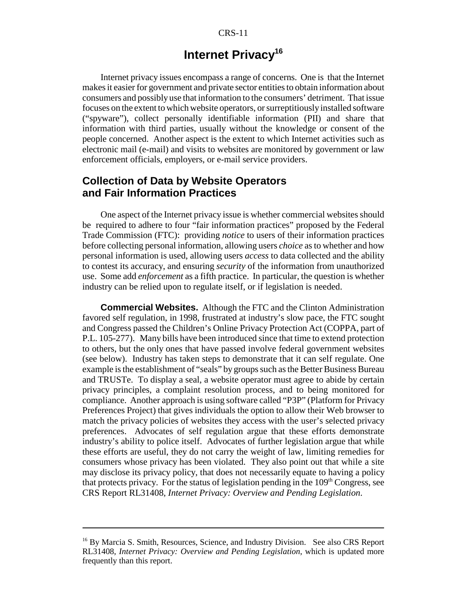#### CRS-11

### **Internet Privacy<sup>16</sup>**

Internet privacy issues encompass a range of concerns. One is that the Internet makes it easier for government and private sector entities to obtain information about consumers and possibly use that information to the consumers' detriment. That issue focuses on the extent to which website operators, or surreptitiously installed software ("spyware"), collect personally identifiable information (PII) and share that information with third parties, usually without the knowledge or consent of the people concerned. Another aspect is the extent to which Internet activities such as electronic mail (e-mail) and visits to websites are monitored by government or law enforcement officials, employers, or e-mail service providers.

#### **Collection of Data by Website Operators and Fair Information Practices**

One aspect of the Internet privacy issue is whether commercial websites should be required to adhere to four "fair information practices" proposed by the Federal Trade Commission (FTC): providing *notice* to users of their information practices before collecting personal information, allowing users *choice* as to whether and how personal information is used, allowing users *access* to data collected and the ability to contest its accuracy, and ensuring *security* of the information from unauthorized use. Some add *enforcement* as a fifth practice. In particular, the question is whether industry can be relied upon to regulate itself, or if legislation is needed.

**Commercial Websites.** Although the FTC and the Clinton Administration favored self regulation, in 1998, frustrated at industry's slow pace, the FTC sought and Congress passed the Children's Online Privacy Protection Act (COPPA, part of P.L. 105-277). Many bills have been introduced since that time to extend protection to others, but the only ones that have passed involve federal government websites (see below). Industry has taken steps to demonstrate that it can self regulate. One example is the establishment of "seals" by groups such as the Better Business Bureau and TRUSTe. To display a seal, a website operator must agree to abide by certain privacy principles, a complaint resolution process, and to being monitored for compliance. Another approach is using software called "P3P" (Platform for Privacy Preferences Project) that gives individuals the option to allow their Web browser to match the privacy policies of websites they access with the user's selected privacy preferences. Advocates of self regulation argue that these efforts demonstrate industry's ability to police itself. Advocates of further legislation argue that while these efforts are useful, they do not carry the weight of law, limiting remedies for consumers whose privacy has been violated. They also point out that while a site may disclose its privacy policy, that does not necessarily equate to having a policy that protects privacy. For the status of legislation pending in the  $109<sup>th</sup>$  Congress, see CRS Report RL31408, *Internet Privacy: Overview and Pending Legislation*.

<sup>&</sup>lt;sup>16</sup> By Marcia S. Smith, Resources, Science, and Industry Division. See also CRS Report RL31408, *Internet Privacy: Overview and Pending Legislation*, which is updated more frequently than this report.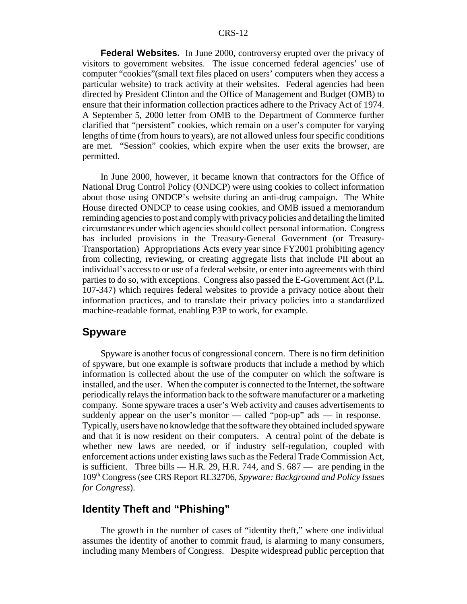**Federal Websites.** In June 2000, controversy erupted over the privacy of visitors to government websites. The issue concerned federal agencies' use of computer "cookies"(small text files placed on users' computers when they access a particular website) to track activity at their websites. Federal agencies had been directed by President Clinton and the Office of Management and Budget (OMB) to ensure that their information collection practices adhere to the Privacy Act of 1974. A September 5, 2000 letter from OMB to the Department of Commerce further clarified that "persistent" cookies, which remain on a user's computer for varying lengths of time (from hours to years), are not allowed unless four specific conditions are met. "Session" cookies, which expire when the user exits the browser, are permitted.

In June 2000, however, it became known that contractors for the Office of National Drug Control Policy (ONDCP) were using cookies to collect information about those using ONDCP's website during an anti-drug campaign. The White House directed ONDCP to cease using cookies, and OMB issued a memorandum reminding agencies to post and comply with privacy policies and detailing the limited circumstances under which agencies should collect personal information. Congress has included provisions in the Treasury-General Government (or Treasury-Transportation) Appropriations Acts every year since FY2001 prohibiting agency from collecting, reviewing, or creating aggregate lists that include PII about an individual's access to or use of a federal website, or enter into agreements with third parties to do so, with exceptions. Congress also passed the E-Government Act (P.L. 107-347) which requires federal websites to provide a privacy notice about their information practices, and to translate their privacy policies into a standardized machine-readable format, enabling P3P to work, for example.

#### **Spyware**

Spyware is another focus of congressional concern. There is no firm definition of spyware, but one example is software products that include a method by which information is collected about the use of the computer on which the software is installed, and the user. When the computer is connected to the Internet, the software periodically relays the information back to the software manufacturer or a marketing company. Some spyware traces a user's Web activity and causes advertisements to suddenly appear on the user's monitor — called "pop-up" ads — in response. Typically, users have no knowledge that the software they obtained included spyware and that it is now resident on their computers. A central point of the debate is whether new laws are needed, or if industry self-regulation, coupled with enforcement actions under existing laws such as the Federal Trade Commission Act, is sufficient. Three bills — H.R. 29, H.R. 744, and S.  $687$  — are pending in the 109th Congress (see CRS Report RL32706, *Spyware: Background and Policy Issues for Congress*).

#### **Identity Theft and "Phishing"**

The growth in the number of cases of "identity theft," where one individual assumes the identity of another to commit fraud, is alarming to many consumers, including many Members of Congress. Despite widespread public perception that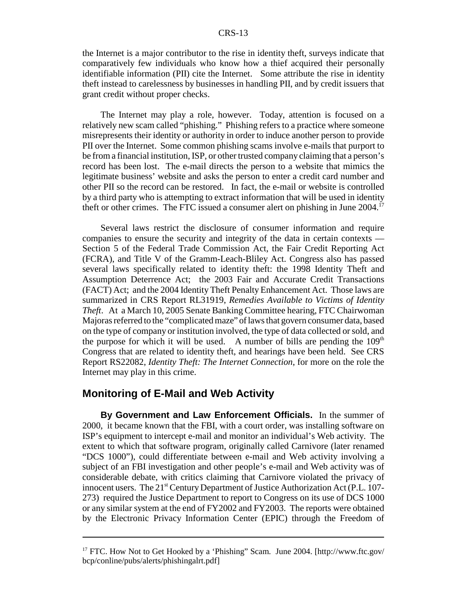the Internet is a major contributor to the rise in identity theft, surveys indicate that comparatively few individuals who know how a thief acquired their personally identifiable information (PII) cite the Internet. Some attribute the rise in identity theft instead to carelessness by businesses in handling PII, and by credit issuers that grant credit without proper checks.

The Internet may play a role, however. Today, attention is focused on a relatively new scam called "phishing." Phishing refers to a practice where someone misrepresents their identity or authority in order to induce another person to provide PII over the Internet. Some common phishing scams involve e-mails that purport to be from a financial institution, ISP, or other trusted company claiming that a person's record has been lost. The e-mail directs the person to a website that mimics the legitimate business' website and asks the person to enter a credit card number and other PII so the record can be restored. In fact, the e-mail or website is controlled by a third party who is attempting to extract information that will be used in identity theft or other crimes. The FTC issued a consumer alert on phishing in June 2004.<sup>17</sup>

Several laws restrict the disclosure of consumer information and require companies to ensure the security and integrity of the data in certain contexts — Section 5 of the Federal Trade Commission Act, the Fair Credit Reporting Act (FCRA), and Title V of the Gramm-Leach-Bliley Act. Congress also has passed several laws specifically related to identity theft: the 1998 Identity Theft and Assumption Deterrence Act; the 2003 Fair and Accurate Credit Transactions (FACT) Act; and the 2004 Identity Theft Penalty Enhancement Act. Those laws are summarized in CRS Report RL31919, *Remedies Available to Victims of Identity Theft*. At a March 10, 2005 Senate Banking Committee hearing, FTC Chairwoman Majoras referred to the "complicated maze" of laws that govern consumer data, based on the type of company or institution involved, the type of data collected or sold, and the purpose for which it will be used. A number of bills are pending the  $109<sup>th</sup>$ Congress that are related to identity theft, and hearings have been held. See CRS Report RS22082, *Identity Theft: The Internet Connection*, for more on the role the Internet may play in this crime.

#### **Monitoring of E-Mail and Web Activity**

**By Government and Law Enforcement Officials.** In the summer of 2000, it became known that the FBI, with a court order, was installing software on ISP's equipment to intercept e-mail and monitor an individual's Web activity. The extent to which that software program, originally called Carnivore (later renamed "DCS 1000"), could differentiate between e-mail and Web activity involving a subject of an FBI investigation and other people's e-mail and Web activity was of considerable debate, with critics claiming that Carnivore violated the privacy of innocent users. The  $21<sup>st</sup>$  Century Department of Justice Authorization Act (P.L. 107-273) required the Justice Department to report to Congress on its use of DCS 1000 or any similar system at the end of FY2002 and FY2003. The reports were obtained by the Electronic Privacy Information Center (EPIC) through the Freedom of

<sup>&</sup>lt;sup>17</sup> FTC. How Not to Get Hooked by a 'Phishing" Scam. June 2004. [http://www.ftc.gov/ bcp/conline/pubs/alerts/phishingalrt.pdf]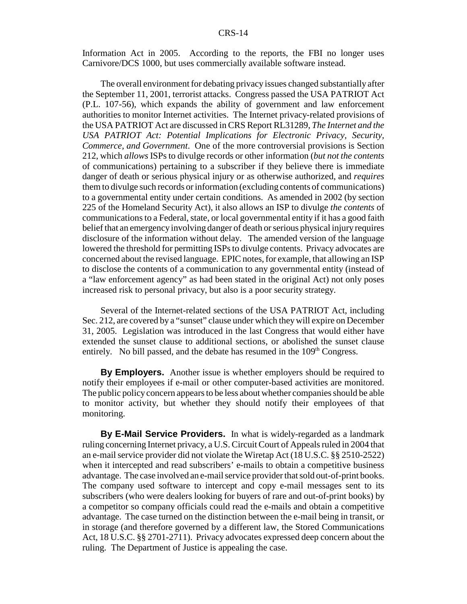Information Act in 2005. According to the reports, the FBI no longer uses Carnivore/DCS 1000, but uses commercially available software instead.

The overall environment for debating privacy issues changed substantially after the September 11, 2001, terrorist attacks. Congress passed the USA PATRIOT Act (P.L. 107-56), which expands the ability of government and law enforcement authorities to monitor Internet activities. The Internet privacy-related provisions of the USA PATRIOT Act are discussed in CRS Report RL31289, *The Internet and the USA PATRIOT Act: Potential Implications for Electronic Privacy, Security, Commerce, and Government*. One of the more controversial provisions is Section 212, which *allows* ISPs to divulge records or other information (*but not the contents* of communications) pertaining to a subscriber if they believe there is immediate danger of death or serious physical injury or as otherwise authorized, and *requires* them to divulge such records or information (excluding contents of communications) to a governmental entity under certain conditions. As amended in 2002 (by section 225 of the Homeland Security Act), it also allows an ISP to divulge *the contents* of communications to a Federal, state, or local governmental entity if it has a good faith belief that an emergency involving danger of death or serious physical injury requires disclosure of the information without delay. The amended version of the language lowered the threshold for permitting ISPs to divulge contents. Privacy advocates are concerned about the revised language. EPIC notes, for example, that allowing an ISP to disclose the contents of a communication to any governmental entity (instead of a "law enforcement agency" as had been stated in the original Act) not only poses increased risk to personal privacy, but also is a poor security strategy.

Several of the Internet-related sections of the USA PATRIOT Act, including Sec. 212, are covered by a "sunset" clause under which they will expire on December 31, 2005. Legislation was introduced in the last Congress that would either have extended the sunset clause to additional sections, or abolished the sunset clause entirely. No bill passed, and the debate has resumed in the  $109<sup>th</sup> Congress$ .

**By Employers.** Another issue is whether employers should be required to notify their employees if e-mail or other computer-based activities are monitored. The public policy concern appears to be less about whether companies should be able to monitor activity, but whether they should notify their employees of that monitoring.

**By E-Mail Service Providers.** In what is widely-regarded as a landmark ruling concerning Internet privacy, a U.S. Circuit Court of Appeals ruled in 2004 that an e-mail service provider did not violate the Wiretap Act (18 U.S.C. §§ 2510-2522) when it intercepted and read subscribers' e-mails to obtain a competitive business advantage. The case involved an e-mail service provider that sold out-of-print books. The company used software to intercept and copy e-mail messages sent to its subscribers (who were dealers looking for buyers of rare and out-of-print books) by a competitor so company officials could read the e-mails and obtain a competitive advantage. The case turned on the distinction between the e-mail being in transit, or in storage (and therefore governed by a different law, the Stored Communications Act, 18 U.S.C. §§ 2701-2711). Privacy advocates expressed deep concern about the ruling. The Department of Justice is appealing the case.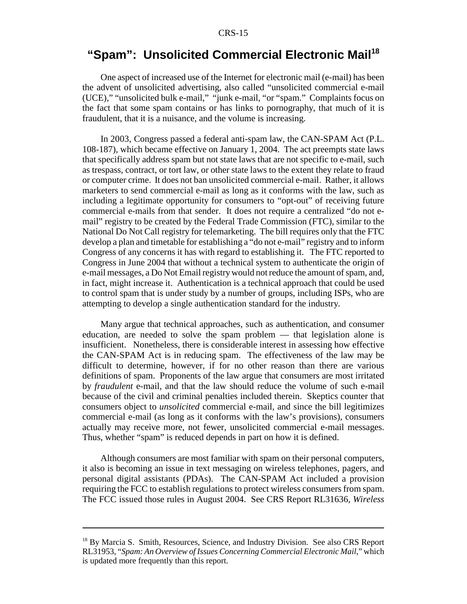## **"Spam": Unsolicited Commercial Electronic Mail<sup>18</sup>**

One aspect of increased use of the Internet for electronic mail (e-mail) has been the advent of unsolicited advertising, also called "unsolicited commercial e-mail (UCE)," "unsolicited bulk e-mail," "junk e-mail, "or "spam." Complaints focus on the fact that some spam contains or has links to pornography, that much of it is fraudulent, that it is a nuisance, and the volume is increasing.

In 2003, Congress passed a federal anti-spam law, the CAN-SPAM Act (P.L. 108-187), which became effective on January 1, 2004. The act preempts state laws that specifically address spam but not state laws that are not specific to e-mail, such as trespass, contract, or tort law, or other state laws to the extent they relate to fraud or computer crime. It does not ban unsolicited commercial e-mail. Rather, it allows marketers to send commercial e-mail as long as it conforms with the law, such as including a legitimate opportunity for consumers to "opt-out" of receiving future commercial e-mails from that sender. It does not require a centralized "do not email" registry to be created by the Federal Trade Commission (FTC), similar to the National Do Not Call registry for telemarketing. The bill requires only that the FTC develop a plan and timetable for establishing a "do not e-mail" registry and to inform Congress of any concerns it has with regard to establishing it. The FTC reported to Congress in June 2004 that without a technical system to authenticate the origin of e-mail messages, a Do Not Email registry would not reduce the amount of spam, and, in fact, might increase it. Authentication is a technical approach that could be used to control spam that is under study by a number of groups, including ISPs, who are attempting to develop a single authentication standard for the industry.

Many argue that technical approaches, such as authentication, and consumer education, are needed to solve the spam problem — that legislation alone is insufficient. Nonetheless, there is considerable interest in assessing how effective the CAN-SPAM Act is in reducing spam. The effectiveness of the law may be difficult to determine, however, if for no other reason than there are various definitions of spam. Proponents of the law argue that consumers are most irritated by *fraudulent* e-mail, and that the law should reduce the volume of such e-mail because of the civil and criminal penalties included therein. Skeptics counter that consumers object to *unsolicited* commercial e-mail, and since the bill legitimizes commercial e-mail (as long as it conforms with the law's provisions), consumers actually may receive more, not fewer, unsolicited commercial e-mail messages. Thus, whether "spam" is reduced depends in part on how it is defined.

Although consumers are most familiar with spam on their personal computers, it also is becoming an issue in text messaging on wireless telephones, pagers, and personal digital assistants (PDAs). The CAN-SPAM Act included a provision requiring the FCC to establish regulations to protect wireless consumers from spam. The FCC issued those rules in August 2004. See CRS Report RL31636, *Wireless*

<sup>&</sup>lt;sup>18</sup> By Marcia S. Smith, Resources, Science, and Industry Division. See also CRS Report RL31953, "*Spam: An Overview of Issues Concerning Commercial Electronic Mail*," which is updated more frequently than this report.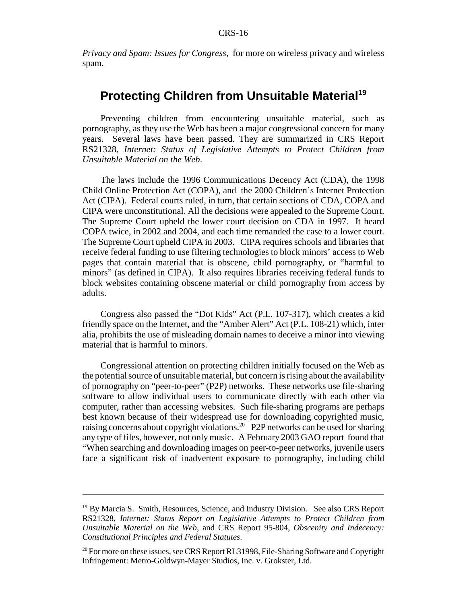*Privacy and Spam: Issues for Congress*, for more on wireless privacy and wireless spam.

### **Protecting Children from Unsuitable Material<sup>19</sup>**

Preventing children from encountering unsuitable material, such as pornography, as they use the Web has been a major congressional concern for many years. Several laws have been passed. They are summarized in CRS Report RS21328, *Internet: Status of Legislative Attempts to Protect Children from Unsuitable Material on the Web*.

The laws include the 1996 Communications Decency Act (CDA), the 1998 Child Online Protection Act (COPA), and the 2000 Children's Internet Protection Act (CIPA). Federal courts ruled, in turn, that certain sections of CDA, COPA and CIPA were unconstitutional. All the decisions were appealed to the Supreme Court. The Supreme Court upheld the lower court decision on CDA in 1997. It heard COPA twice, in 2002 and 2004, and each time remanded the case to a lower court. The Supreme Court upheld CIPA in 2003. CIPA requires schools and libraries that receive federal funding to use filtering technologies to block minors' access to Web pages that contain material that is obscene, child pornography, or "harmful to minors" (as defined in CIPA). It also requires libraries receiving federal funds to block websites containing obscene material or child pornography from access by adults.

Congress also passed the "Dot Kids" Act (P.L. 107-317), which creates a kid friendly space on the Internet, and the "Amber Alert" Act (P.L. 108-21) which, inter alia, prohibits the use of misleading domain names to deceive a minor into viewing material that is harmful to minors.

Congressional attention on protecting children initially focused on the Web as the potential source of unsuitable material, but concern is rising about the availability of pornography on "peer-to-peer" (P2P) networks. These networks use file-sharing software to allow individual users to communicate directly with each other via computer, rather than accessing websites. Such file-sharing programs are perhaps best known because of their widespread use for downloading copyrighted music, raising concerns about copyright violations.20 P2P networks can be used for sharing any type of files, however, not only music. A February 2003 GAO report found that "When searching and downloading images on peer-to-peer networks, juvenile users face a significant risk of inadvertent exposure to pornography, including child

<sup>&</sup>lt;sup>19</sup> By Marcia S. Smith, Resources, Science, and Industry Division. See also CRS Report RS21328, *Internet: Status Report on Legislative Attempts to Protect Children from Unsuitable Material on the Web*, and CRS Report 95-804, *Obscenity and Indecency: Constitutional Principles and Federal Statutes*.

<sup>&</sup>lt;sup>20</sup> For more on these issues, see CRS Report RL31998, File-Sharing Software and Copyright Infringement: Metro-Goldwyn-Mayer Studios, Inc. v. Grokster, Ltd.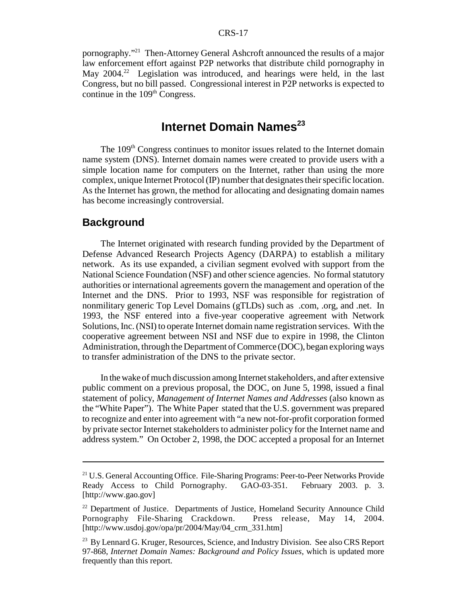#### CRS-17

pornography."<sup>21</sup> Then-Attorney General Ashcroft announced the results of a major law enforcement effort against P2P networks that distribute child pornography in May  $2004<sup>22</sup>$  Legislation was introduced, and hearings were held, in the last Congress, but no bill passed. Congressional interest in P2P networks is expected to continue in the  $109<sup>th</sup>$  Congress.

### **Internet Domain Names**<sup>23</sup>

The 109<sup>th</sup> Congress continues to monitor issues related to the Internet domain name system (DNS). Internet domain names were created to provide users with a simple location name for computers on the Internet, rather than using the more complex, unique Internet Protocol (IP) number that designates their specific location. As the Internet has grown, the method for allocating and designating domain names has become increasingly controversial.

#### **Background**

The Internet originated with research funding provided by the Department of Defense Advanced Research Projects Agency (DARPA) to establish a military network. As its use expanded, a civilian segment evolved with support from the National Science Foundation (NSF) and other science agencies. No formal statutory authorities or international agreements govern the management and operation of the Internet and the DNS. Prior to 1993, NSF was responsible for registration of nonmilitary generic Top Level Domains (gTLDs) such as .com, .org, and .net. In 1993, the NSF entered into a five-year cooperative agreement with Network Solutions, Inc. (NSI) to operate Internet domain name registration services. With the cooperative agreement between NSI and NSF due to expire in 1998, the Clinton Administration, through the Department of Commerce (DOC), began exploring ways to transfer administration of the DNS to the private sector.

In the wake of much discussion among Internet stakeholders, and after extensive public comment on a previous proposal, the DOC, on June 5, 1998, issued a final statement of policy, *Management of Internet Names and Addresses* (also known as the "White Paper"). The White Paper stated that the U.S. government was prepared to recognize and enter into agreement with "a new not-for-profit corporation formed by private sector Internet stakeholders to administer policy for the Internet name and address system." On October 2, 1998, the DOC accepted a proposal for an Internet

<sup>&</sup>lt;sup>21</sup> U.S. General Accounting Office. File-Sharing Programs: Peer-to-Peer Networks Provide Ready Access to Child Pornography. GAO-03-351. February 2003. p. 3. [http://www.gao.gov]

<sup>&</sup>lt;sup>22</sup> Department of Justice. Departments of Justice, Homeland Security Announce Child Pornography File-Sharing Crackdown. Press release, May 14, 2004. [http://www.usdoj.gov/opa/pr/2004/May/04\_crm\_331.htm]

<sup>&</sup>lt;sup>23</sup> By Lennard G. Kruger, Resources, Science, and Industry Division. See also CRS Report 97-868, *Internet Domain Names: Background and Policy Issues*, which is updated more frequently than this report.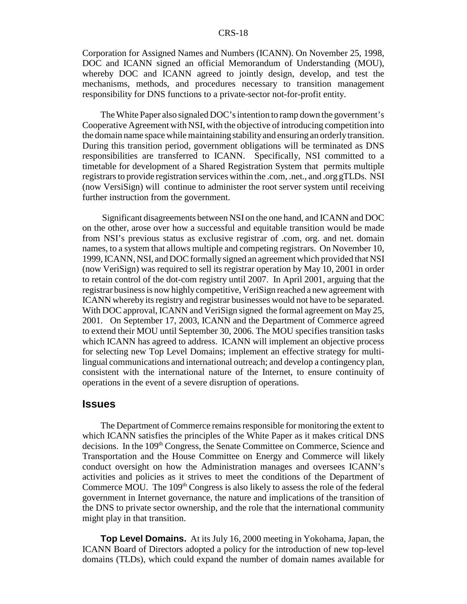Corporation for Assigned Names and Numbers (ICANN). On November 25, 1998, DOC and ICANN signed an official Memorandum of Understanding (MOU), whereby DOC and ICANN agreed to jointly design, develop, and test the mechanisms, methods, and procedures necessary to transition management responsibility for DNS functions to a private-sector not-for-profit entity.

The White Paper also signaled DOC's intention to ramp down the government's Cooperative Agreement with NSI, with the objective of introducing competition into the domain name space while maintaining stability and ensuring an orderly transition. During this transition period, government obligations will be terminated as DNS responsibilities are transferred to ICANN. Specifically, NSI committed to a timetable for development of a Shared Registration System that permits multiple registrars to provide registration services within the .com, .net., and .org gTLDs. NSI (now VersiSign) will continue to administer the root server system until receiving further instruction from the government.

 Significant disagreements between NSI on the one hand, and ICANN and DOC on the other, arose over how a successful and equitable transition would be made from NSI's previous status as exclusive registrar of .com, org. and net. domain names, to a system that allows multiple and competing registrars. On November 10, 1999, ICANN, NSI, and DOC formally signed an agreement which provided that NSI (now VeriSign) was required to sell its registrar operation by May 10, 2001 in order to retain control of the dot-com registry until 2007. In April 2001, arguing that the registrar business is now highly competitive, VeriSign reached a new agreement with ICANN whereby its registry and registrar businesses would not have to be separated. With DOC approval, ICANN and VeriSign signed the formal agreement on May 25, 2001. On September 17, 2003, ICANN and the Department of Commerce agreed to extend their MOU until September 30, 2006. The MOU specifies transition tasks which ICANN has agreed to address. ICANN will implement an objective process for selecting new Top Level Domains; implement an effective strategy for multilingual communications and international outreach; and develop a contingency plan, consistent with the international nature of the Internet, to ensure continuity of operations in the event of a severe disruption of operations.

#### **Issues**

The Department of Commerce remains responsible for monitoring the extent to which ICANN satisfies the principles of the White Paper as it makes critical DNS decisions. In the 109<sup>th</sup> Congress, the Senate Committee on Commerce, Science and Transportation and the House Committee on Energy and Commerce will likely conduct oversight on how the Administration manages and oversees ICANN's activities and policies as it strives to meet the conditions of the Department of Commerce MOU. The 109<sup>th</sup> Congress is also likely to assess the role of the federal government in Internet governance, the nature and implications of the transition of the DNS to private sector ownership, and the role that the international community might play in that transition.

**Top Level Domains.** At its July 16, 2000 meeting in Yokohama, Japan, the ICANN Board of Directors adopted a policy for the introduction of new top-level domains (TLDs), which could expand the number of domain names available for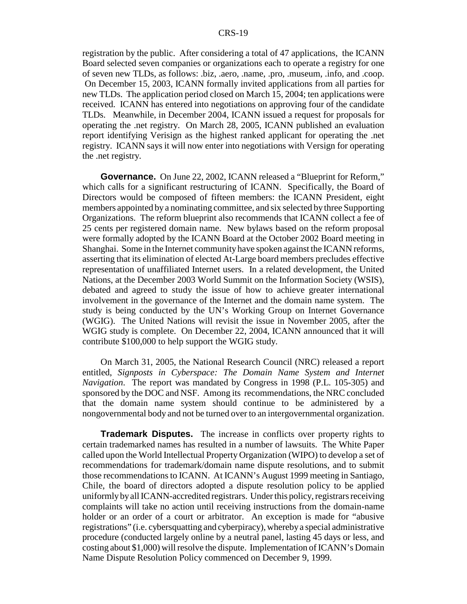registration by the public. After considering a total of 47 applications, the ICANN Board selected seven companies or organizations each to operate a registry for one of seven new TLDs, as follows: .biz, .aero, .name, .pro, .museum, .info, and .coop. On December 15, 2003, ICANN formally invited applications from all parties for new TLDs. The application period closed on March 15, 2004; ten applications were received. ICANN has entered into negotiations on approving four of the candidate TLDs. Meanwhile, in December 2004, ICANN issued a request for proposals for operating the .net registry. On March 28, 2005, ICANN published an evaluation report identifying Verisign as the highest ranked applicant for operating the .net registry. ICANN says it will now enter into negotiations with Versign for operating the .net registry.

**Governance.** On June 22, 2002, ICANN released a "Blueprint for Reform," which calls for a significant restructuring of ICANN. Specifically, the Board of Directors would be composed of fifteen members: the ICANN President, eight members appointed by a nominating committee, and six selected by three Supporting Organizations. The reform blueprint also recommends that ICANN collect a fee of 25 cents per registered domain name. New bylaws based on the reform proposal were formally adopted by the ICANN Board at the October 2002 Board meeting in Shanghai. Some in the Internet community have spoken against the ICANN reforms, asserting that its elimination of elected At-Large board members precludes effective representation of unaffiliated Internet users. In a related development, the United Nations, at the December 2003 World Summit on the Information Society (WSIS), debated and agreed to study the issue of how to achieve greater international involvement in the governance of the Internet and the domain name system. The study is being conducted by the UN's Working Group on Internet Governance (WGIG). The United Nations will revisit the issue in November 2005, after the WGIG study is complete. On December 22, 2004, ICANN announced that it will contribute \$100,000 to help support the WGIG study.

On March 31, 2005, the National Research Council (NRC) released a report entitled, *Signposts in Cyberspace: The Domain Name System and Internet Navigation*. The report was mandated by Congress in 1998 (P.L. 105-305) and sponsored by the DOC and NSF. Among its recommendations, the NRC concluded that the domain name system should continue to be administered by a nongovernmental body and not be turned over to an intergovernmental organization.

**Trademark Disputes.** The increase in conflicts over property rights to certain trademarked names has resulted in a number of lawsuits. The White Paper called upon the World Intellectual Property Organization (WIPO) to develop a set of recommendations for trademark/domain name dispute resolutions, and to submit those recommendations to ICANN. At ICANN's August 1999 meeting in Santiago, Chile, the board of directors adopted a dispute resolution policy to be applied uniformly by all ICANN-accredited registrars. Under this policy, registrars receiving complaints will take no action until receiving instructions from the domain-name holder or an order of a court or arbitrator. An exception is made for "abusive registrations" (i.e. cybersquatting and cyberpiracy), whereby a special administrative procedure (conducted largely online by a neutral panel, lasting 45 days or less, and costing about \$1,000) will resolve the dispute. Implementation of ICANN's Domain Name Dispute Resolution Policy commenced on December 9, 1999.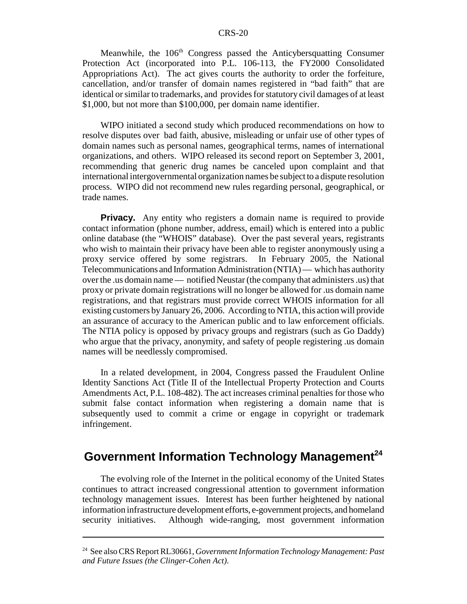Meanwhile, the 106<sup>th</sup> Congress passed the Anticybersquatting Consumer Protection Act (incorporated into P.L. 106-113, the FY2000 Consolidated Appropriations Act). The act gives courts the authority to order the forfeiture, cancellation, and/or transfer of domain names registered in "bad faith" that are identical or similar to trademarks, and provides for statutory civil damages of at least \$1,000, but not more than \$100,000, per domain name identifier.

WIPO initiated a second study which produced recommendations on how to resolve disputes over bad faith, abusive, misleading or unfair use of other types of domain names such as personal names, geographical terms, names of international organizations, and others. WIPO released its second report on September 3, 2001, recommending that generic drug names be canceled upon complaint and that international intergovernmental organization names be subject to a dispute resolution process. WIPO did not recommend new rules regarding personal, geographical, or trade names.

**Privacy.** Any entity who registers a domain name is required to provide contact information (phone number, address, email) which is entered into a public online database (the "WHOIS" database). Over the past several years, registrants who wish to maintain their privacy have been able to register anonymously using a proxy service offered by some registrars. In February 2005, the National Telecommunications and Information Administration (NTIA) — which has authority over the .us domain name — notified Neustar (the company that administers .us) that proxy or private domain registrations will no longer be allowed for .us domain name registrations, and that registrars must provide correct WHOIS information for all existing customers by January 26, 2006. According to NTIA, this action will provide an assurance of accuracy to the American public and to law enforcement officials. The NTIA policy is opposed by privacy groups and registrars (such as Go Daddy) who argue that the privacy, anonymity, and safety of people registering .us domain names will be needlessly compromised.

In a related development, in 2004, Congress passed the Fraudulent Online Identity Sanctions Act (Title II of the Intellectual Property Protection and Courts Amendments Act, P.L. 108-482). The act increases criminal penalties for those who submit false contact information when registering a domain name that is subsequently used to commit a crime or engage in copyright or trademark infringement.

### Government Information Technology Management<sup>24</sup>

The evolving role of the Internet in the political economy of the United States continues to attract increased congressional attention to government information technology management issues. Interest has been further heightened by national information infrastructure development efforts, e-government projects, and homeland security initiatives. Although wide-ranging, most government information

<sup>24</sup> See also CRS Report RL30661, *Government Information Technology Management: Past and Future Issues (the Clinger-Cohen Act)*.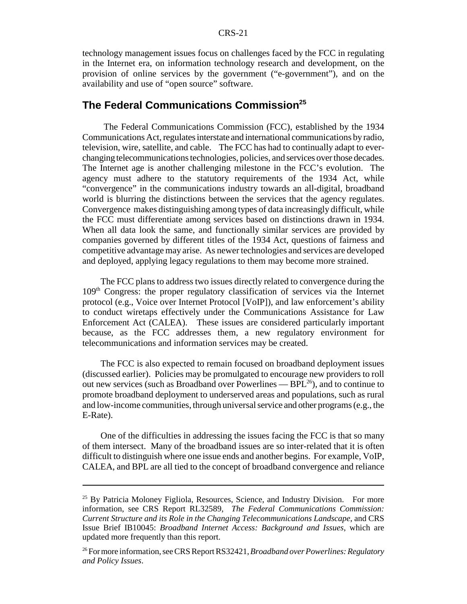technology management issues focus on challenges faced by the FCC in regulating in the Internet era, on information technology research and development, on the provision of online services by the government ("e-government"), and on the availability and use of "open source" software.

### **The Federal Communications Commission**<sup>25</sup>

 The Federal Communications Commission (FCC), established by the 1934 Communications Act, regulates interstate and international communications by radio, television, wire, satellite, and cable. The FCC has had to continually adapt to everchanging telecommunications technologies, policies, and services over those decades. The Internet age is another challenging milestone in the FCC's evolution. The agency must adhere to the statutory requirements of the 1934 Act, while "convergence" in the communications industry towards an all-digital, broadband world is blurring the distinctions between the services that the agency regulates. Convergence makes distinguishing among types of data increasingly difficult, while the FCC must differentiate among services based on distinctions drawn in 1934. When all data look the same, and functionally similar services are provided by companies governed by different titles of the 1934 Act, questions of fairness and competitive advantage may arise. As newer technologies and services are developed and deployed, applying legacy regulations to them may become more strained.

The FCC plans to address two issues directly related to convergence during the 109th Congress: the proper regulatory classification of services via the Internet protocol (e.g., Voice over Internet Protocol [VoIP]), and law enforcement's ability to conduct wiretaps effectively under the Communications Assistance for Law Enforcement Act (CALEA). These issues are considered particularly important because, as the FCC addresses them, a new regulatory environment for telecommunications and information services may be created.

The FCC is also expected to remain focused on broadband deployment issues (discussed earlier). Policies may be promulgated to encourage new providers to roll out new services (such as Broadband over Powerlines  $-$  BPL $^{26}$ ), and to continue to promote broadband deployment to underserved areas and populations, such as rural and low-income communities, through universal service and other programs (e.g., the E-Rate).

One of the difficulties in addressing the issues facing the FCC is that so many of them intersect. Many of the broadband issues are so inter-related that it is often difficult to distinguish where one issue ends and another begins. For example, VoIP, CALEA, and BPL are all tied to the concept of broadband convergence and reliance

<sup>&</sup>lt;sup>25</sup> By Patricia Moloney Figliola, Resources, Science, and Industry Division. For more information, see CRS Report RL32589, *The Federal Communications Commission: Current Structure and its Role in the Changing Telecommunications Landscape*, and CRS Issue Brief IB10045: *Broadband Internet Access: Background and Issues*, which are updated more frequently than this report.

<sup>26</sup> For more information, see CRS Report RS32421, *Broadband over Powerlines: Regulatory and Policy Issues*.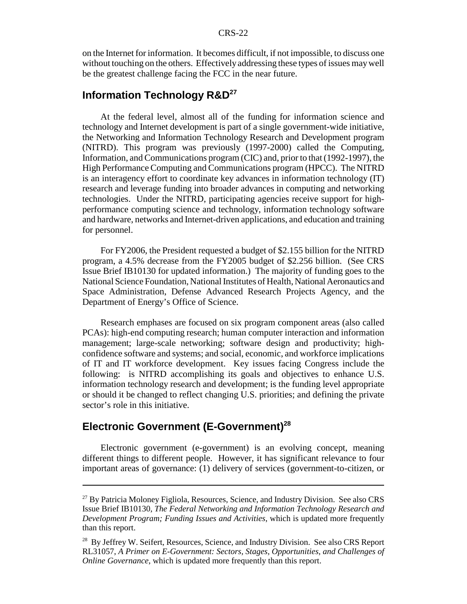#### CRS-22

on the Internet for information. It becomes difficult, if not impossible, to discuss one without touching on the others. Effectively addressing these types of issues may well be the greatest challenge facing the FCC in the near future.

### **Information Technology R&D<sup>27</sup>**

At the federal level, almost all of the funding for information science and technology and Internet development is part of a single government-wide initiative, the Networking and Information Technology Research and Development program (NITRD). This program was previously (1997-2000) called the Computing, Information, and Communications program (CIC) and, prior to that (1992-1997), the High Performance Computing and Communications program (HPCC). The NITRD is an interagency effort to coordinate key advances in information technology (IT) research and leverage funding into broader advances in computing and networking technologies. Under the NITRD, participating agencies receive support for highperformance computing science and technology, information technology software and hardware, networks and Internet-driven applications, and education and training for personnel.

For FY2006, the President requested a budget of \$2.155 billion for the NITRD program, a 4.5% decrease from the FY2005 budget of \$2.256 billion. (See CRS Issue Brief IB10130 for updated information.) The majority of funding goes to the National Science Foundation, National Institutes of Health, National Aeronautics and Space Administration, Defense Advanced Research Projects Agency, and the Department of Energy's Office of Science.

Research emphases are focused on six program component areas (also called PCAs): high-end computing research; human computer interaction and information management; large-scale networking; software design and productivity; highconfidence software and systems; and social, economic, and workforce implications of IT and IT workforce development. Key issues facing Congress include the following: is NITRD accomplishing its goals and objectives to enhance U.S. information technology research and development; is the funding level appropriate or should it be changed to reflect changing U.S. priorities; and defining the private sector's role in this initiative.

### **Electronic Government (E-Government)<sup>28</sup>**

Electronic government (e-government) is an evolving concept, meaning different things to different people. However, it has significant relevance to four important areas of governance: (1) delivery of services (government-to-citizen, or

<sup>&</sup>lt;sup>27</sup> By Patricia Moloney Figliola, Resources, Science, and Industry Division. See also CRS Issue Brief IB10130, *The Federal Networking and Information Technology Research and Development Program; Funding Issues and Activities*, which is updated more frequently than this report.

<sup>&</sup>lt;sup>28</sup> By Jeffrey W. Seifert, Resources, Science, and Industry Division. See also CRS Report RL31057, *A Primer on E-Government: Sectors, Stages, Opportunities, and Challenges of Online Governance*, which is updated more frequently than this report.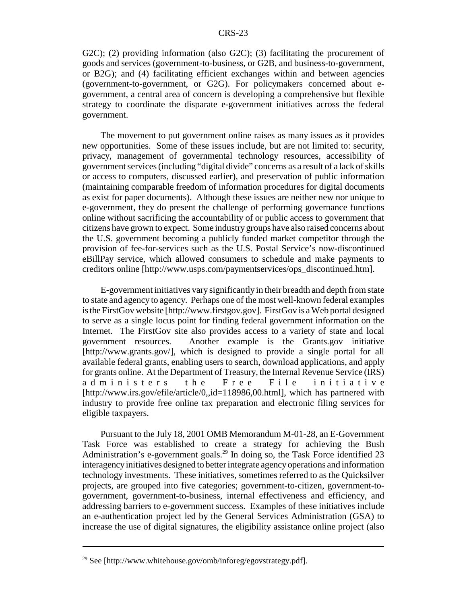G2C); (2) providing information (also G2C); (3) facilitating the procurement of goods and services (government-to-business, or G2B, and business-to-government, or B2G); and (4) facilitating efficient exchanges within and between agencies (government-to-government, or G2G). For policymakers concerned about egovernment, a central area of concern is developing a comprehensive but flexible strategy to coordinate the disparate e-government initiatives across the federal government.

The movement to put government online raises as many issues as it provides new opportunities. Some of these issues include, but are not limited to: security, privacy, management of governmental technology resources, accessibility of government services (including "digital divide" concerns as a result of a lack of skills or access to computers, discussed earlier), and preservation of public information (maintaining comparable freedom of information procedures for digital documents as exist for paper documents). Although these issues are neither new nor unique to e-government, they do present the challenge of performing governance functions online without sacrificing the accountability of or public access to government that citizens have grown to expect. Some industry groups have also raised concerns about the U.S. government becoming a publicly funded market competitor through the provision of fee-for-services such as the U.S. Postal Service's now-discontinued eBillPay service, which allowed consumers to schedule and make payments to creditors online [http://www.usps.com/paymentservices/ops\_discontinued.htm].

E-government initiatives vary significantly in their breadth and depth from state to state and agency to agency. Perhaps one of the most well-known federal examples is the FirstGov website [http://www.firstgov.gov]. FirstGov is a Web portal designed to serve as a single locus point for finding federal government information on the Internet. The FirstGov site also provides access to a variety of state and local government resources. Another example is the Grants.gov initiative [http://www.grants.gov/], which is designed to provide a single portal for all available federal grants, enabling users to search, download applications, and apply for grants online. At the Department of Treasury, the Internal Revenue Service (IRS) administers the Free File initiative [http://www.irs.gov/efile/article/0,,id=118986,00.html], which has partnered with industry to provide free online tax preparation and electronic filing services for eligible taxpayers.

Pursuant to the July 18, 2001 OMB Memorandum M-01-28, an E-Government Task Force was established to create a strategy for achieving the Bush Administration's e-government goals.<sup>29</sup> In doing so, the Task Force identified 23 interagency initiatives designed to better integrate agency operations and information technology investments. These initiatives, sometimes referred to as the Quicksilver projects, are grouped into five categories; government-to-citizen, government-togovernment, government-to-business, internal effectiveness and efficiency, and addressing barriers to e-government success. Examples of these initiatives include an e-authentication project led by the General Services Administration (GSA) to increase the use of digital signatures, the eligibility assistance online project (also

 $^{29}$  See [http://www.whitehouse.gov/omb/inforeg/egovstrategy.pdf].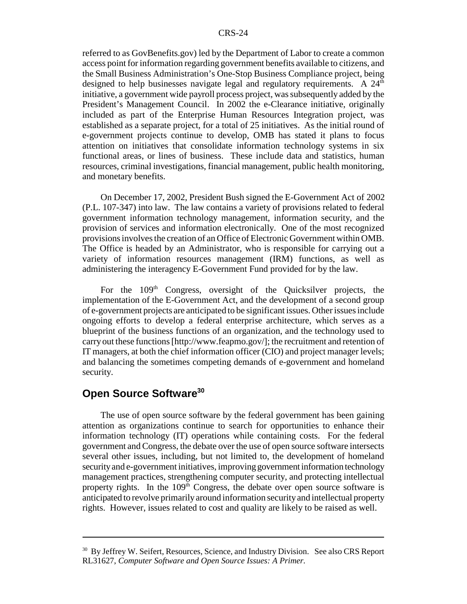referred to as GovBenefits.gov) led by the Department of Labor to create a common access point for information regarding government benefits available to citizens, and the Small Business Administration's One-Stop Business Compliance project, being designed to help businesses navigate legal and regulatory requirements. A  $24<sup>th</sup>$ initiative, a government wide payroll process project, was subsequently added by the President's Management Council. In 2002 the e-Clearance initiative, originally included as part of the Enterprise Human Resources Integration project, was established as a separate project, for a total of 25 initiatives. As the initial round of e-government projects continue to develop, OMB has stated it plans to focus attention on initiatives that consolidate information technology systems in six functional areas, or lines of business. These include data and statistics, human resources, criminal investigations, financial management, public health monitoring, and monetary benefits.

 On December 17, 2002, President Bush signed the E-Government Act of 2002 (P.L. 107-347) into law. The law contains a variety of provisions related to federal government information technology management, information security, and the provision of services and information electronically. One of the most recognized provisions involves the creation of an Office of Electronic Government within OMB. The Office is headed by an Administrator, who is responsible for carrying out a variety of information resources management (IRM) functions, as well as administering the interagency E-Government Fund provided for by the law.

For the 109<sup>th</sup> Congress, oversight of the Quicksilver projects, the implementation of the E-Government Act, and the development of a second group of e-government projects are anticipated to be significant issues. Other issues include ongoing efforts to develop a federal enterprise architecture, which serves as a blueprint of the business functions of an organization, and the technology used to carry out these functions [http://www.feapmo.gov/]; the recruitment and retention of IT managers, at both the chief information officer (CIO) and project manager levels; and balancing the sometimes competing demands of e-government and homeland security.

### **Open Source Software30**

The use of open source software by the federal government has been gaining attention as organizations continue to search for opportunities to enhance their information technology (IT) operations while containing costs. For the federal government and Congress, the debate over the use of open source software intersects several other issues, including, but not limited to, the development of homeland security and e-government initiatives, improving government information technology management practices, strengthening computer security, and protecting intellectual property rights. In the 109<sup>th</sup> Congress, the debate over open source software is anticipated to revolve primarily around information security and intellectual property rights. However, issues related to cost and quality are likely to be raised as well.

<sup>&</sup>lt;sup>30</sup> By Jeffrey W. Seifert, Resources, Science, and Industry Division. See also CRS Report RL31627, *Computer Software and Open Source Issues: A Primer.*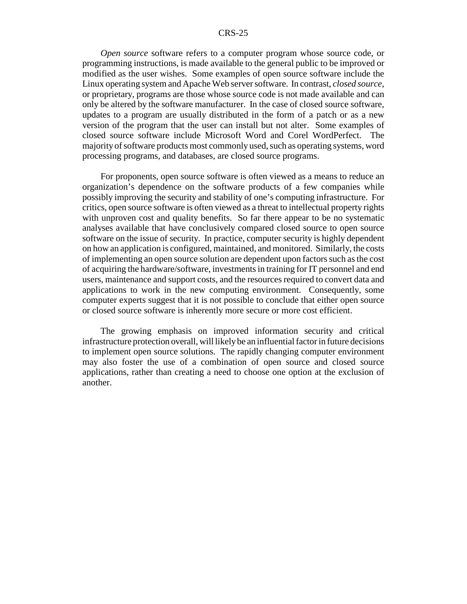#### CRS-25

*Open source* software refers to a computer program whose source code, or programming instructions, is made available to the general public to be improved or modified as the user wishes. Some examples of open source software include the Linux operating system and Apache Web server software. In contrast, *closed source*, or proprietary, programs are those whose source code is not made available and can only be altered by the software manufacturer. In the case of closed source software, updates to a program are usually distributed in the form of a patch or as a new version of the program that the user can install but not alter. Some examples of closed source software include Microsoft Word and Corel WordPerfect. The majority of software products most commonly used, such as operating systems, word processing programs, and databases, are closed source programs.

 For proponents, open source software is often viewed as a means to reduce an organization's dependence on the software products of a few companies while possibly improving the security and stability of one's computing infrastructure. For critics, open source software is often viewed as a threat to intellectual property rights with unproven cost and quality benefits. So far there appear to be no systematic analyses available that have conclusively compared closed source to open source software on the issue of security. In practice, computer security is highly dependent on how an application is configured, maintained, and monitored. Similarly, the costs of implementing an open source solution are dependent upon factors such as the cost of acquiring the hardware/software, investments in training for IT personnel and end users, maintenance and support costs, and the resources required to convert data and applications to work in the new computing environment. Consequently, some computer experts suggest that it is not possible to conclude that either open source or closed source software is inherently more secure or more cost efficient.

The growing emphasis on improved information security and critical infrastructure protection overall, will likely be an influential factor in future decisions to implement open source solutions. The rapidly changing computer environment may also foster the use of a combination of open source and closed source applications, rather than creating a need to choose one option at the exclusion of another.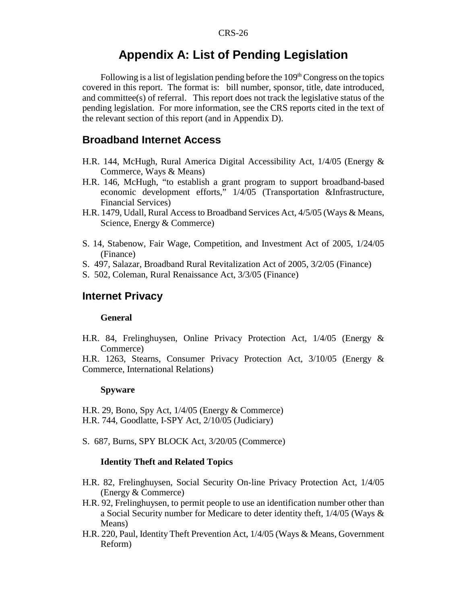### **Appendix A: List of Pending Legislation**

Following is a list of legislation pending before the  $109<sup>th</sup> Congress$  on the topics covered in this report. The format is: bill number, sponsor, title, date introduced, and committee(s) of referral. This report does not track the legislative status of the pending legislation. For more information, see the CRS reports cited in the text of the relevant section of this report (and in Appendix D).

#### **Broadband Internet Access**

- H.R. 144, McHugh, Rural America Digital Accessibility Act, 1/4/05 (Energy & Commerce, Ways & Means)
- H.R. 146, McHugh, "to establish a grant program to support broadband-based economic development efforts," 1/4/05 (Transportation &Infrastructure, Financial Services)
- H.R. 1479, Udall, Rural Access to Broadband Services Act, 4/5/05 (Ways & Means, Science, Energy & Commerce)
- S. 14, Stabenow, Fair Wage, Competition, and Investment Act of 2005, 1/24/05 (Finance)
- S. 497, Salazar, Broadband Rural Revitalization Act of 2005, 3/2/05 (Finance)
- S. 502, Coleman, Rural Renaissance Act, 3/3/05 (Finance)

#### **Internet Privacy**

#### **General**

H.R. 84, Frelinghuysen, Online Privacy Protection Act, 1/4/05 (Energy & Commerce)

H.R. 1263, Stearns, Consumer Privacy Protection Act, 3/10/05 (Energy & Commerce, International Relations)

#### **Spyware**

H.R. 29, Bono, Spy Act, 1/4/05 (Energy & Commerce) H.R. 744, Goodlatte, I-SPY Act, 2/10/05 (Judiciary)

S. 687, Burns, SPY BLOCK Act, 3/20/05 (Commerce)

#### **Identity Theft and Related Topics**

- H.R. 82, Frelinghuysen, Social Security On-line Privacy Protection Act, 1/4/05 (Energy & Commerce)
- H.R. 92, Frelinghuysen, to permit people to use an identification number other than a Social Security number for Medicare to deter identity theft, 1/4/05 (Ways & Means)
- H.R. 220, Paul, Identity Theft Prevention Act, 1/4/05 (Ways & Means, Government Reform)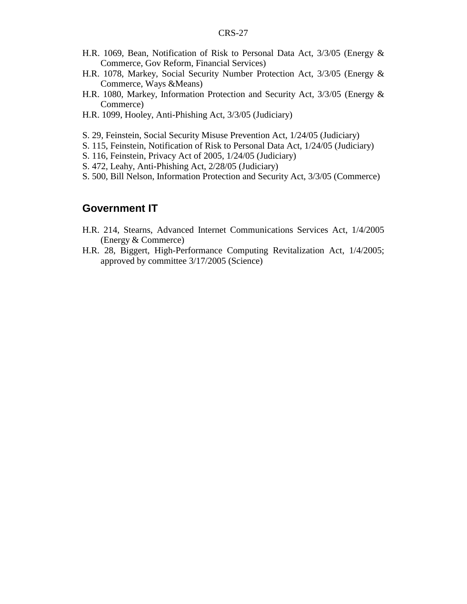- H.R. 1069, Bean, Notification of Risk to Personal Data Act, 3/3/05 (Energy & Commerce, Gov Reform, Financial Services)
- H.R. 1078, Markey, Social Security Number Protection Act, 3/3/05 (Energy & Commerce, Ways &Means)
- H.R. 1080, Markey, Information Protection and Security Act, 3/3/05 (Energy & Commerce)
- H.R. 1099, Hooley, Anti-Phishing Act, 3/3/05 (Judiciary)
- S. 29, Feinstein, Social Security Misuse Prevention Act, 1/24/05 (Judiciary)
- S. 115, Feinstein, Notification of Risk to Personal Data Act, 1/24/05 (Judiciary)
- S. 116, Feinstein, Privacy Act of 2005, 1/24/05 (Judiciary)
- S. 472, Leahy, Anti-Phishing Act, 2/28/05 (Judiciary)
- S. 500, Bill Nelson, Information Protection and Security Act, 3/3/05 (Commerce)

#### **Government IT**

- H.R. 214, Stearns, Advanced Internet Communications Services Act, 1/4/2005 (Energy & Commerce)
- H.R. 28, Biggert, High-Performance Computing Revitalization Act, 1/4/2005; approved by committee 3/17/2005 (Science)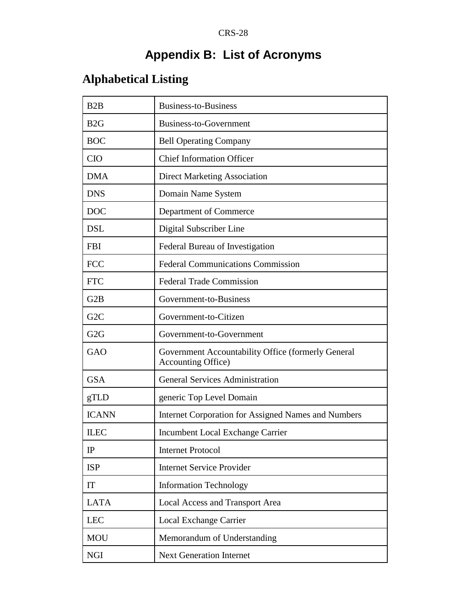# **Appendix B: List of Acronyms**

# **Alphabetical Listing**

| B2B              | Business-to-Business                                                             |
|------------------|----------------------------------------------------------------------------------|
| B2G              | Business-to-Government                                                           |
| <b>BOC</b>       | <b>Bell Operating Company</b>                                                    |
| <b>CIO</b>       | <b>Chief Information Officer</b>                                                 |
| <b>DMA</b>       | <b>Direct Marketing Association</b>                                              |
| <b>DNS</b>       | Domain Name System                                                               |
| <b>DOC</b>       | Department of Commerce                                                           |
| <b>DSL</b>       | Digital Subscriber Line                                                          |
| <b>FBI</b>       | Federal Bureau of Investigation                                                  |
| <b>FCC</b>       | <b>Federal Communications Commission</b>                                         |
| <b>FTC</b>       | <b>Federal Trade Commission</b>                                                  |
| G2B              | Government-to-Business                                                           |
| G <sub>2</sub> C | Government-to-Citizen                                                            |
| G2G              | Government-to-Government                                                         |
| GAO              | Government Accountability Office (formerly General<br><b>Accounting Office</b> ) |
| <b>GSA</b>       | <b>General Services Administration</b>                                           |
| gTLD             | generic Top Level Domain                                                         |
| <b>ICANN</b>     | Internet Corporation for Assigned Names and Numbers                              |
| <b>ILEC</b>      | Incumbent Local Exchange Carrier                                                 |
| IP               | <b>Internet Protocol</b>                                                         |
| <b>ISP</b>       | <b>Internet Service Provider</b>                                                 |
| IT               | <b>Information Technology</b>                                                    |
| <b>LATA</b>      | Local Access and Transport Area                                                  |
| <b>LEC</b>       | Local Exchange Carrier                                                           |
| <b>MOU</b>       | Memorandum of Understanding                                                      |
| <b>NGI</b>       | <b>Next Generation Internet</b>                                                  |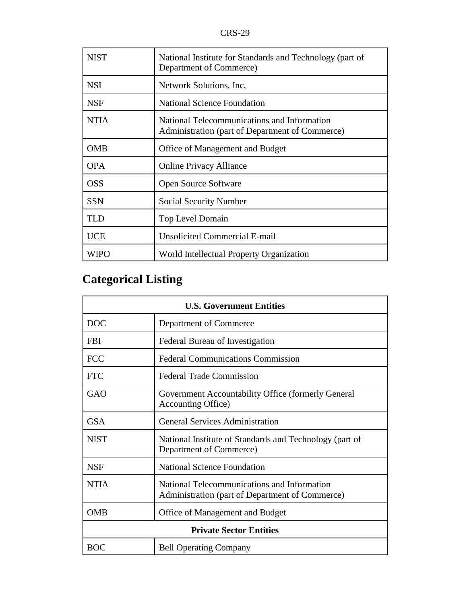| <b>NIST</b> | National Institute for Standards and Technology (part of<br>Department of Commerce)            |
|-------------|------------------------------------------------------------------------------------------------|
| <b>NSI</b>  | Network Solutions, Inc.                                                                        |
| <b>NSF</b>  | <b>National Science Foundation</b>                                                             |
| <b>NTIA</b> | National Telecommunications and Information<br>Administration (part of Department of Commerce) |
| <b>OMB</b>  | Office of Management and Budget                                                                |
| <b>OPA</b>  | <b>Online Privacy Alliance</b>                                                                 |
| <b>OSS</b>  | <b>Open Source Software</b>                                                                    |
| <b>SSN</b>  | Social Security Number                                                                         |
| <b>TLD</b>  | Top Level Domain                                                                               |
| <b>UCE</b>  | <b>Unsolicited Commercial E-mail</b>                                                           |
| WIPO        | World Intellectual Property Organization                                                       |

# **Categorical Listing**

| <b>U.S. Government Entities</b> |                                                                                                |  |
|---------------------------------|------------------------------------------------------------------------------------------------|--|
| <b>DOC</b>                      | Department of Commerce                                                                         |  |
| <b>FBI</b>                      | Federal Bureau of Investigation                                                                |  |
| <b>FCC</b>                      | <b>Federal Communications Commission</b>                                                       |  |
| <b>FTC</b>                      | <b>Federal Trade Commission</b>                                                                |  |
| GAO                             | Government Accountability Office (formerly General<br><b>Accounting Office</b> )               |  |
| <b>GSA</b>                      | <b>General Services Administration</b>                                                         |  |
| <b>NIST</b>                     | National Institute of Standards and Technology (part of<br>Department of Commerce)             |  |
| <b>NSF</b>                      | National Science Foundation                                                                    |  |
| <b>NTIA</b>                     | National Telecommunications and Information<br>Administration (part of Department of Commerce) |  |
| <b>OMB</b>                      | Office of Management and Budget                                                                |  |
| <b>Private Sector Entities</b>  |                                                                                                |  |
| <b>BOC</b>                      | <b>Bell Operating Company</b>                                                                  |  |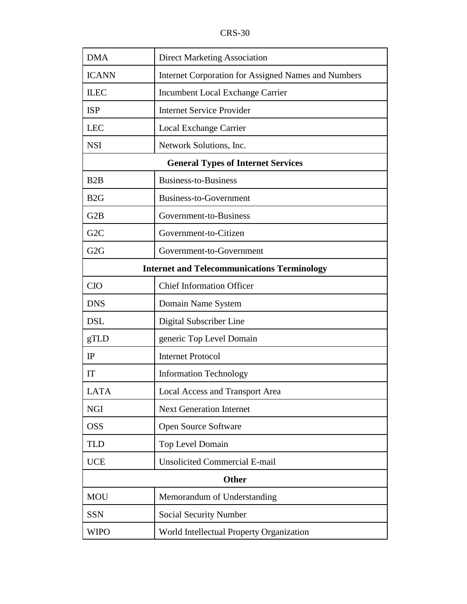| <b>DMA</b>                                         | <b>Direct Marketing Association</b>                        |  |  |
|----------------------------------------------------|------------------------------------------------------------|--|--|
| <b>ICANN</b>                                       | <b>Internet Corporation for Assigned Names and Numbers</b> |  |  |
| <b>ILEC</b>                                        | Incumbent Local Exchange Carrier                           |  |  |
| <b>ISP</b>                                         | <b>Internet Service Provider</b>                           |  |  |
| <b>LEC</b>                                         | Local Exchange Carrier                                     |  |  |
| <b>NSI</b>                                         | Network Solutions, Inc.                                    |  |  |
| <b>General Types of Internet Services</b>          |                                                            |  |  |
| B2B                                                | <b>Business-to-Business</b>                                |  |  |
| B2G                                                | <b>Business-to-Government</b>                              |  |  |
| G2B                                                | Government-to-Business                                     |  |  |
| G <sub>2</sub> C                                   | Government-to-Citizen                                      |  |  |
| G <sub>2</sub> G                                   | Government-to-Government                                   |  |  |
| <b>Internet and Telecommunications Terminology</b> |                                                            |  |  |
| <b>CIO</b>                                         | <b>Chief Information Officer</b>                           |  |  |
| <b>DNS</b>                                         | Domain Name System                                         |  |  |
| <b>DSL</b>                                         | Digital Subscriber Line                                    |  |  |
| gTLD                                               | generic Top Level Domain                                   |  |  |
| IP                                                 | <b>Internet Protocol</b>                                   |  |  |
| IT                                                 | <b>Information Technology</b>                              |  |  |
| <b>LATA</b>                                        | <b>Local Access and Transport Area</b>                     |  |  |
| <b>NGI</b>                                         | <b>Next Generation Internet</b>                            |  |  |
| <b>OSS</b>                                         | Open Source Software                                       |  |  |
| <b>TLD</b>                                         | Top Level Domain                                           |  |  |
| <b>UCE</b>                                         | <b>Unsolicited Commercial E-mail</b>                       |  |  |
| <b>Other</b>                                       |                                                            |  |  |
| <b>MOU</b>                                         | Memorandum of Understanding                                |  |  |
| <b>SSN</b>                                         | <b>Social Security Number</b>                              |  |  |
| <b>WIPO</b>                                        | World Intellectual Property Organization                   |  |  |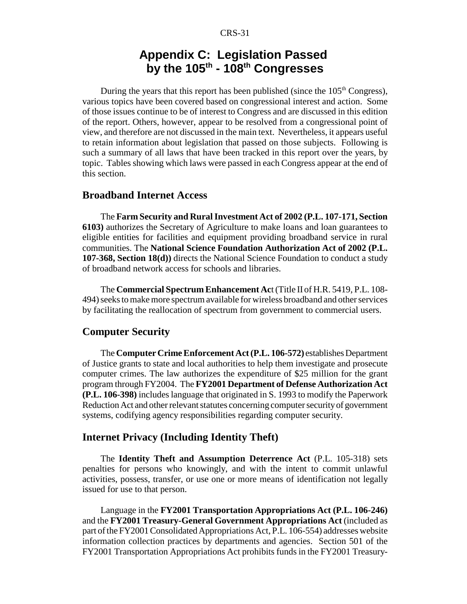### **Appendix C: Legislation Passed by the 105th - 108th Congresses**

During the years that this report has been published (since the  $105<sup>th</sup>$  Congress), various topics have been covered based on congressional interest and action. Some of those issues continue to be of interest to Congress and are discussed in this edition of the report. Others, however, appear to be resolved from a congressional point of view, and therefore are not discussed in the main text. Nevertheless, it appears useful to retain information about legislation that passed on those subjects. Following is such a summary of all laws that have been tracked in this report over the years, by topic. Tables showing which laws were passed in each Congress appear at the end of this section.

#### **Broadband Internet Access**

The **Farm Security and Rural Investment Act of 2002 (P.L. 107-171, Section 6103)** authorizes the Secretary of Agriculture to make loans and loan guarantees to eligible entities for facilities and equipment providing broadband service in rural communities. The **National Science Foundation Authorization Act of 2002 (P.L. 107-368, Section 18(d))** directs the National Science Foundation to conduct a study of broadband network access for schools and libraries.

The **Commercial Spectrum Enhancement Ac**t (Title II of H.R. 5419, P.L. 108- 494) seeks to make more spectrum available for wireless broadband and other services by facilitating the reallocation of spectrum from government to commercial users.

#### **Computer Security**

The **Computer Crime Enforcement Act (P.L. 106-572)** establishes Department of Justice grants to state and local authorities to help them investigate and prosecute computer crimes. The law authorizes the expenditure of \$25 million for the grant program through FY2004. The **FY2001 Department of Defense Authorization Act (P.L. 106-398)** includes language that originated in S. 1993 to modify the Paperwork Reduction Act and other relevant statutes concerning computer security of government systems, codifying agency responsibilities regarding computer security.

#### **Internet Privacy (Including Identity Theft)**

The **Identity Theft and Assumption Deterrence Act** (P.L. 105-318) sets penalties for persons who knowingly, and with the intent to commit unlawful activities, possess, transfer, or use one or more means of identification not legally issued for use to that person.

Language in the **FY2001 Transportation Appropriations Act (P.L. 106-246)** and the **FY2001 Treasury-General Government Appropriations Act** (included as part of the FY2001 Consolidated Appropriations Act, P.L. 106-554) addresses website information collection practices by departments and agencies. Section 501 of the FY2001 Transportation Appropriations Act prohibits funds in the FY2001 Treasury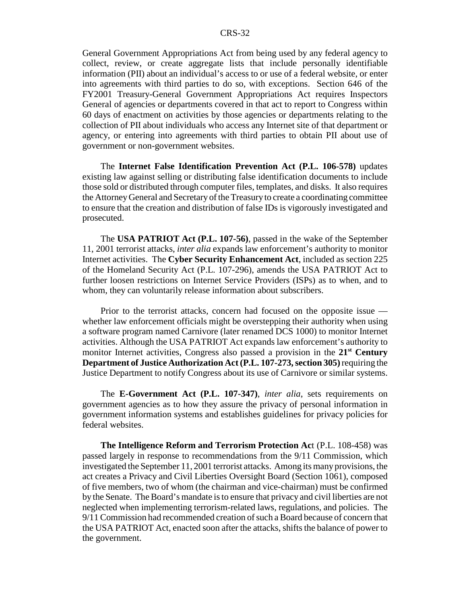General Government Appropriations Act from being used by any federal agency to collect, review, or create aggregate lists that include personally identifiable information (PII) about an individual's access to or use of a federal website, or enter into agreements with third parties to do so, with exceptions. Section 646 of the FY2001 Treasury-General Government Appropriations Act requires Inspectors General of agencies or departments covered in that act to report to Congress within 60 days of enactment on activities by those agencies or departments relating to the collection of PII about individuals who access any Internet site of that department or agency, or entering into agreements with third parties to obtain PII about use of government or non-government websites.

The **Internet False Identification Prevention Act (P.L. 106-578)** updates existing law against selling or distributing false identification documents to include those sold or distributed through computer files, templates, and disks. It also requires the Attorney General and Secretary of the Treasury to create a coordinating committee to ensure that the creation and distribution of false IDs is vigorously investigated and prosecuted.

The **USA PATRIOT Act (P.L. 107-56)**, passed in the wake of the September 11, 2001 terrorist attacks, *inter alia* expands law enforcement's authority to monitor Internet activities. The **Cyber Security Enhancement Act**, included as section 225 of the Homeland Security Act (P.L. 107-296), amends the USA PATRIOT Act to further loosen restrictions on Internet Service Providers (ISPs) as to when, and to whom, they can voluntarily release information about subscribers.

Prior to the terrorist attacks, concern had focused on the opposite issue whether law enforcement officials might be overstepping their authority when using a software program named Carnivore (later renamed DCS 1000) to monitor Internet activities. Although the USA PATRIOT Act expands law enforcement's authority to monitor Internet activities, Congress also passed a provision in the **21st Century Department of Justice Authorization Act (P.L. 107-273, section 305)** requiring the Justice Department to notify Congress about its use of Carnivore or similar systems.

The **E-Government Act (P.L. 107-347)**, *inter alia*, sets requirements on government agencies as to how they assure the privacy of personal information in government information systems and establishes guidelines for privacy policies for federal websites.

**The Intelligence Reform and Terrorism Protection Ac**t (P.L. 108-458) was passed largely in response to recommendations from the 9/11 Commission, which investigated the September 11, 2001 terrorist attacks. Among its many provisions, the act creates a Privacy and Civil Liberties Oversight Board (Section 1061), composed of five members, two of whom (the chairman and vice-chairman) must be confirmed by the Senate. The Board's mandate is to ensure that privacy and civil liberties are not neglected when implementing terrorism-related laws, regulations, and policies. The 9/11 Commission had recommended creation of such a Board because of concern that the USA PATRIOT Act, enacted soon after the attacks, shifts the balance of power to the government.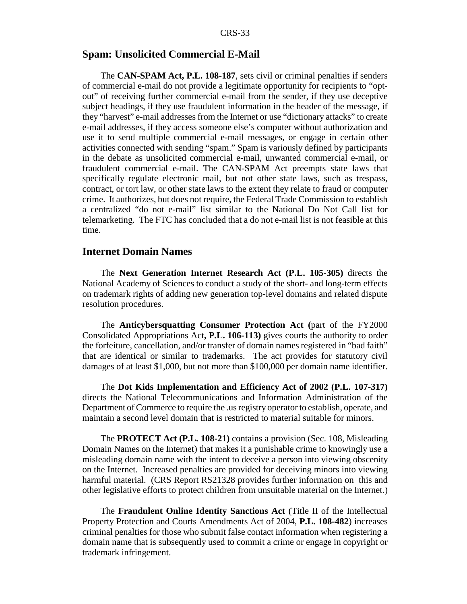#### **Spam: Unsolicited Commercial E-Mail**

The **CAN-SPAM Act, P.L. 108-187**, sets civil or criminal penalties if senders of commercial e-mail do not provide a legitimate opportunity for recipients to "optout" of receiving further commercial e-mail from the sender, if they use deceptive subject headings, if they use fraudulent information in the header of the message, if they "harvest" e-mail addresses from the Internet or use "dictionary attacks" to create e-mail addresses, if they access someone else's computer without authorization and use it to send multiple commercial e-mail messages, or engage in certain other activities connected with sending "spam." Spam is variously defined by participants in the debate as unsolicited commercial e-mail, unwanted commercial e-mail, or fraudulent commercial e-mail. The CAN-SPAM Act preempts state laws that specifically regulate electronic mail, but not other state laws, such as trespass, contract, or tort law, or other state laws to the extent they relate to fraud or computer crime. It authorizes, but does not require, the Federal Trade Commission to establish a centralized "do not e-mail" list similar to the National Do Not Call list for telemarketing. The FTC has concluded that a do not e-mail list is not feasible at this time.

#### **Internet Domain Names**

The **Next Generation Internet Research Act (P.L. 105-305)** directs the National Academy of Sciences to conduct a study of the short- and long-term effects on trademark rights of adding new generation top-level domains and related dispute resolution procedures.

The **Anticybersquatting Consumer Protection Act (**part of the FY2000 Consolidated Appropriations Act**, P.L. 106-113)** gives courts the authority to order the forfeiture, cancellation, and/or transfer of domain names registered in "bad faith" that are identical or similar to trademarks. The act provides for statutory civil damages of at least \$1,000, but not more than \$100,000 per domain name identifier.

The **Dot Kids Implementation and Efficiency Act of 2002 (P.L. 107-317)** directs the National Telecommunications and Information Administration of the Department of Commerce to require the .us registry operator to establish, operate, and maintain a second level domain that is restricted to material suitable for minors.

The **PROTECT Act (P.L. 108-21)** contains a provision (Sec. 108, Misleading Domain Names on the Internet) that makes it a punishable crime to knowingly use a misleading domain name with the intent to deceive a person into viewing obscenity on the Internet. Increased penalties are provided for deceiving minors into viewing harmful material. (CRS Report RS21328 provides further information on this and other legislative efforts to protect children from unsuitable material on the Internet.)

The **Fraudulent Online Identity Sanctions Act** (Title II of the Intellectual Property Protection and Courts Amendments Act of 2004, **P.L. 108-482**) increases criminal penalties for those who submit false contact information when registering a domain name that is subsequently used to commit a crime or engage in copyright or trademark infringement.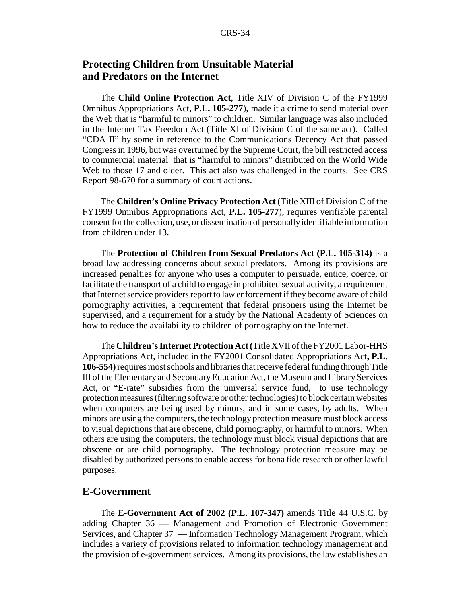#### **Protecting Children from Unsuitable Material and Predators on the Internet**

The **Child Online Protection Act**, Title XIV of Division C of the FY1999 Omnibus Appropriations Act, **P.L. 105-277**), made it a crime to send material over the Web that is "harmful to minors" to children. Similar language was also included in the Internet Tax Freedom Act (Title XI of Division C of the same act). Called "CDA II" by some in reference to the Communications Decency Act that passed Congress in 1996, but was overturned by the Supreme Court, the bill restricted access to commercial material that is "harmful to minors" distributed on the World Wide Web to those 17 and older. This act also was challenged in the courts. See CRS Report 98-670 for a summary of court actions.

The **Children's Online Privacy Protection Act** (Title XIII of Division C of the FY1999 Omnibus Appropriations Act, **P.L. 105-277**), requires verifiable parental consent for the collection, use, or dissemination of personally identifiable information from children under 13.

The **Protection of Children from Sexual Predators Act (P.L. 105-314)** is a broad law addressing concerns about sexual predators. Among its provisions are increased penalties for anyone who uses a computer to persuade, entice, coerce, or facilitate the transport of a child to engage in prohibited sexual activity, a requirement that Internet service providers report to law enforcement if they become aware of child pornography activities, a requirement that federal prisoners using the Internet be supervised, and a requirement for a study by the National Academy of Sciences on how to reduce the availability to children of pornography on the Internet.

The **Children's Internet Protection Act (**Title XVII of the FY2001 Labor-HHS Appropriations Act, included in the FY2001 Consolidated Appropriations Act**, P.L. 106-554)** requires most schools and libraries that receive federal funding through Title III of the Elementary and Secondary Education Act, the Museum and Library Services Act, or "E-rate" subsidies from the universal service fund, to use technology protection measures (filtering software or other technologies) to block certain websites when computers are being used by minors, and in some cases, by adults. When minors are using the computers, the technology protection measure must block access to visual depictions that are obscene, child pornography, or harmful to minors. When others are using the computers, the technology must block visual depictions that are obscene or are child pornography. The technology protection measure may be disabled by authorized persons to enable access for bona fide research or other lawful purposes.

#### **E-Government**

The **E-Government Act of 2002 (P.L. 107-347)** amends Title 44 U.S.C. by adding Chapter 36 — Management and Promotion of Electronic Government Services, and Chapter 37 — Information Technology Management Program, which includes a variety of provisions related to information technology management and the provision of e-government services. Among its provisions, the law establishes an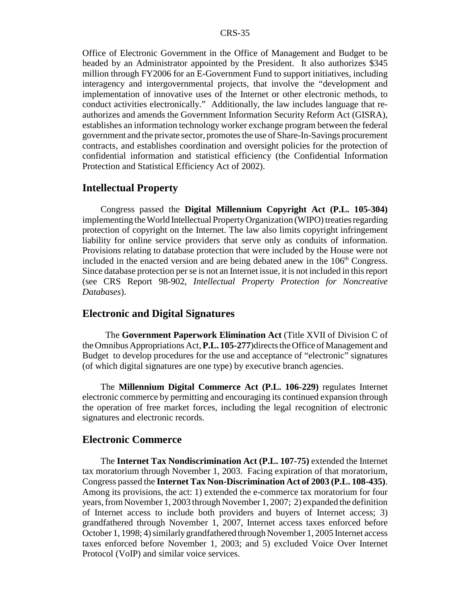Office of Electronic Government in the Office of Management and Budget to be headed by an Administrator appointed by the President. It also authorizes \$345 million through FY2006 for an E-Government Fund to support initiatives, including interagency and intergovernmental projects, that involve the "development and implementation of innovative uses of the Internet or other electronic methods, to conduct activities electronically." Additionally, the law includes language that reauthorizes and amends the Government Information Security Reform Act (GISRA), establishes an information technology worker exchange program between the federal government and the private sector, promotes the use of Share-In-Savings procurement contracts, and establishes coordination and oversight policies for the protection of confidential information and statistical efficiency (the Confidential Information Protection and Statistical Efficiency Act of 2002).

#### **Intellectual Property**

Congress passed the **Digital Millennium Copyright Act (P.L. 105-304)** implementing the World Intellectual Property Organization (WIPO) treaties regarding protection of copyright on the Internet. The law also limits copyright infringement liability for online service providers that serve only as conduits of information. Provisions relating to database protection that were included by the House were not included in the enacted version and are being debated anew in the  $106<sup>th</sup>$  Congress. Since database protection per se is not an Internet issue, it is not included in this report (see CRS Report 98-902, *Intellectual Property Protection for Noncreative Databases*).

#### **Electronic and Digital Signatures**

 The **Government Paperwork Elimination Act** (Title XVII of Division C of the Omnibus Appropriations Act, **P.L. 105-277**)directs the Office of Management and Budget to develop procedures for the use and acceptance of "electronic" signatures (of which digital signatures are one type) by executive branch agencies.

The **Millennium Digital Commerce Act (P.L. 106-229)** regulates Internet electronic commerce by permitting and encouraging its continued expansion through the operation of free market forces, including the legal recognition of electronic signatures and electronic records.

#### **Electronic Commerce**

The **Internet Tax Nondiscrimination Act (P.L. 107-75)** extended the Internet tax moratorium through November 1, 2003. Facing expiration of that moratorium, Congress passed the **Internet Tax Non-Discrimination Act of 2003 (P.L. 108-435)**. Among its provisions, the act: 1) extended the e-commerce tax moratorium for four years, from November 1, 2003 through November 1, 2007; 2) expanded the definition of Internet access to include both providers and buyers of Internet access; 3) grandfathered through November 1, 2007, Internet access taxes enforced before October 1, 1998; 4) similarly grandfathered through November 1, 2005 Internet access taxes enforced before November 1, 2003; and 5) excluded Voice Over Internet Protocol (VoIP) and similar voice services.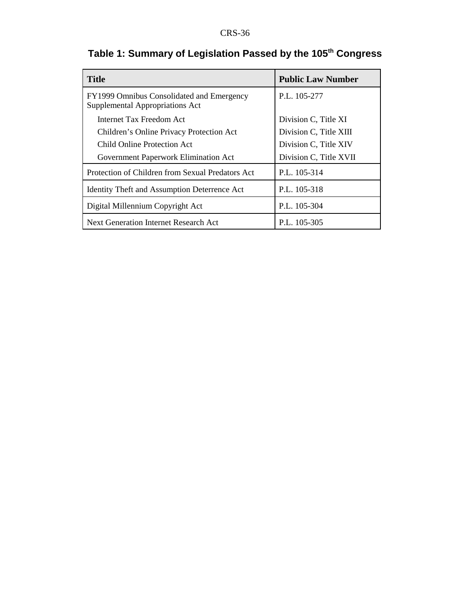| <b>Title</b>                                                                 | <b>Public Law Number</b> |
|------------------------------------------------------------------------------|--------------------------|
| FY1999 Omnibus Consolidated and Emergency<br>Supplemental Appropriations Act | P.L. 105-277             |
| Internet Tax Freedom Act                                                     | Division C, Title XI     |
| Children's Online Privacy Protection Act                                     | Division C, Title XIII   |
| Child Online Protection Act                                                  | Division C, Title XIV    |
| Government Paperwork Elimination Act                                         | Division C, Title XVII   |
| Protection of Children from Sexual Predators Act                             | P.L. 105-314             |
| <b>Identity Theft and Assumption Deterrence Act</b>                          | P.L. 105-318             |
| Digital Millennium Copyright Act                                             | P.L. 105-304             |
| Next Generation Internet Research Act                                        | P.L. 105-305             |

# **Table 1: Summary of Legislation Passed by the 105th Congress**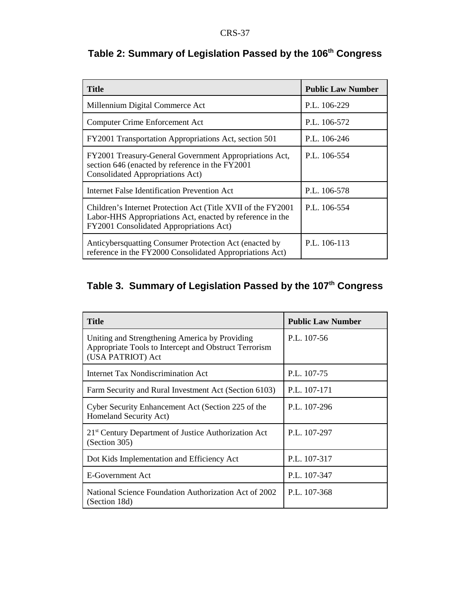| <b>Title</b>                                                                                                                                                          | <b>Public Law Number</b> |
|-----------------------------------------------------------------------------------------------------------------------------------------------------------------------|--------------------------|
| Millennium Digital Commerce Act                                                                                                                                       | P.L. 106-229             |
| <b>Computer Crime Enforcement Act</b>                                                                                                                                 | P.L. 106-572             |
| FY2001 Transportation Appropriations Act, section 501                                                                                                                 | P.L. 106-246             |
| FY2001 Treasury-General Government Appropriations Act,<br>section 646 (enacted by reference in the FY2001<br><b>Consolidated Appropriations Act)</b>                  | P.L. 106-554             |
| Internet False Identification Prevention Act                                                                                                                          | P.L. 106-578             |
| Children's Internet Protection Act (Title XVII of the FY2001)<br>Labor-HHS Appropriations Act, enacted by reference in the<br>FY2001 Consolidated Appropriations Act) | P.L. 106-554             |
| Anticybersquatting Consumer Protection Act (enacted by<br>reference in the FY2000 Consolidated Appropriations Act)                                                    | P.L. 106-113             |

# **Table 2: Summary of Legislation Passed by the 106th Congress**

# **Table 3. Summary of Legislation Passed by the 107th Congress**

| <b>Title</b>                                                                                                                 | <b>Public Law Number</b> |
|------------------------------------------------------------------------------------------------------------------------------|--------------------------|
| Uniting and Strengthening America by Providing<br>Appropriate Tools to Intercept and Obstruct Terrorism<br>(USA PATRIOT) Act | P.L. 107-56              |
| Internet Tax Nondiscrimination Act                                                                                           | P.L. 107-75              |
| Farm Security and Rural Investment Act (Section 6103)                                                                        | P.L. 107-171             |
| Cyber Security Enhancement Act (Section 225 of the<br>Homeland Security Act)                                                 | P.L. 107-296             |
| 21 <sup>st</sup> Century Department of Justice Authorization Act<br>(Section 305)                                            | P.L. 107-297             |
| Dot Kids Implementation and Efficiency Act                                                                                   | P.L. 107-317             |
| E-Government Act                                                                                                             | P.L. 107-347             |
| National Science Foundation Authorization Act of 2002<br>(Section 18d)                                                       | P.L. 107-368             |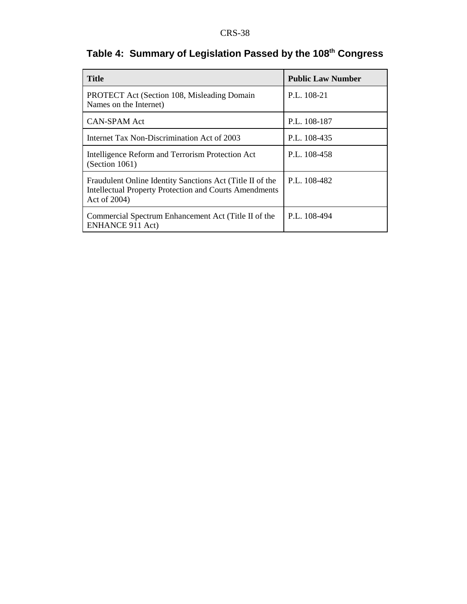| Table 4: Summary of Legislation Passed by the 108th Congress |  |  |  |
|--------------------------------------------------------------|--|--|--|
|--------------------------------------------------------------|--|--|--|

| <b>Title</b>                                                                                                                               | <b>Public Law Number</b> |
|--------------------------------------------------------------------------------------------------------------------------------------------|--------------------------|
| <b>PROTECT</b> Act (Section 108, Misleading Domain<br>Names on the Internet)                                                               | P.L. 108-21              |
| <b>CAN-SPAM Act</b>                                                                                                                        | P.L. 108-187             |
| Internet Tax Non-Discrimination Act of 2003                                                                                                | P.L. 108-435             |
| Intelligence Reform and Terrorism Protection Act<br>(Section 1061)                                                                         | P.L. 108-458             |
| Fraudulent Online Identity Sanctions Act (Title II of the<br><b>Intellectual Property Protection and Courts Amendments</b><br>Act of 2004) | P.L. 108-482             |
| Commercial Spectrum Enhancement Act (Title II of the<br><b>ENHANCE 911 Act)</b>                                                            | P.L. 108-494             |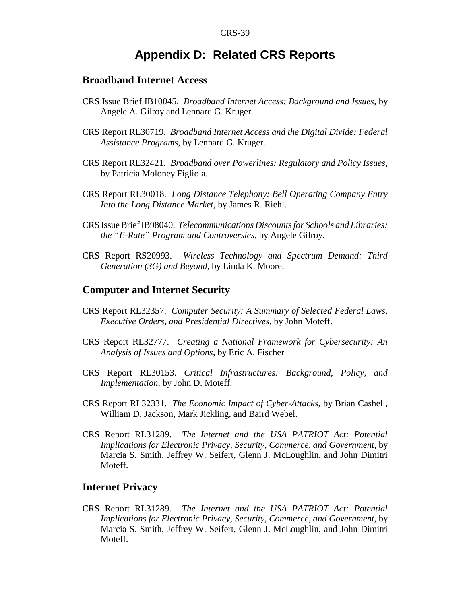### **Appendix D: Related CRS Reports**

#### **Broadband Internet Access**

- CRS Issue Brief IB10045. *Broadband Internet Access: Background and Issues*, by Angele A. Gilroy and Lennard G. Kruger.
- CRS Report RL30719. *Broadband Internet Access and the Digital Divide: Federal Assistance Programs*, by Lennard G. Kruger.
- CRS Report RL32421. *Broadband over Powerlines: Regulatory and Policy Issues*, by Patricia Moloney Figliola.
- CRS Report RL30018. *Long Distance Telephony: Bell Operating Company Entry Into the Long Distance Market*, by James R. Riehl.
- CRS Issue Brief IB98040. *Telecommunications Discounts for Schools and Libraries: the "E-Rate" Program and Controversies*, by Angele Gilroy.
- CRS Report RS20993. *Wireless Technology and Spectrum Demand: Third Generation (3G) and Beyond*, by Linda K. Moore.

#### **Computer and Internet Security**

- CRS Report RL32357. *Computer Security: A Summary of Selected Federal Laws, Executive Orders, and Presidential Directives*, by John Moteff.
- CRS Report RL32777. *Creating a National Framework for Cybersecurity: An Analysis of Issues and Options*, by Eric A. Fischer
- CRS Report RL30153. *Critical Infrastructures: Background, Policy, and Implementation*, by John D. Moteff.
- CRS Report RL32331. *The Economic Impact of Cyber-Attacks*, by Brian Cashell, William D. Jackson, Mark Jickling, and Baird Webel.
- CRS Report RL31289. *The Internet and the USA PATRIOT Act: Potential Implications for Electronic Privacy, Security, Commerce, and Government*, by Marcia S. Smith, Jeffrey W. Seifert, Glenn J. McLoughlin, and John Dimitri Moteff.

#### **Internet Privacy**

CRS Report RL31289. *The Internet and the USA PATRIOT Act: Potential Implications for Electronic Privacy, Security, Commerce, and Government*, by Marcia S. Smith, Jeffrey W. Seifert, Glenn J. McLoughlin, and John Dimitri Moteff.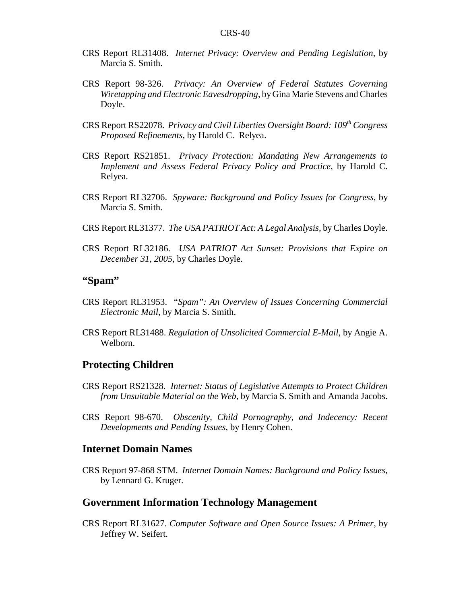- CRS Report RL31408. *Internet Privacy: Overview and Pending Legislation*, by Marcia S. Smith.
- CRS Report 98-326. *Privacy: An Overview of Federal Statutes Governing Wiretapping and Electronic Eavesdropping*, by Gina Marie Stevens and Charles Doyle.
- CRS Report RS22078. *Privacy and Civil Liberties Oversight Board: 109th Congress Proposed Refinements*, by Harold C. Relyea.
- CRS Report RS21851. *Privacy Protection: Mandating New Arrangements to Implement and Assess Federal Privacy Policy and Practice*, by Harold C. Relyea.
- CRS Report RL32706. *Spyware: Background and Policy Issues for Congress*, by Marcia S. Smith.
- CRS Report RL31377. *The USA PATRIOT Act: A Legal Analysis*, by Charles Doyle.
- CRS Report RL32186. *USA PATRIOT Act Sunset: Provisions that Expire on December 31, 2005*, by Charles Doyle.

#### **"Spam"**

- CRS Report RL31953. *"Spam": An Overview of Issues Concerning Commercial Electronic Mail*, by Marcia S. Smith.
- CRS Report RL31488. *Regulation of Unsolicited Commercial E-Mail*, by Angie A. Welborn.

#### **Protecting Children**

- CRS Report RS21328. *Internet: Status of Legislative Attempts to Protect Children from Unsuitable Material on the Web*, by Marcia S. Smith and Amanda Jacobs.
- CRS Report 98-670. *Obscenity, Child Pornography, and Indecency: Recent Developments and Pending Issues*, by Henry Cohen.

#### **Internet Domain Names**

CRS Report 97-868 STM. *Internet Domain Names: Background and Policy Issues*, by Lennard G. Kruger.

#### **Government Information Technology Management**

CRS Report RL31627. *Computer Software and Open Source Issues: A Primer*, by Jeffrey W. Seifert.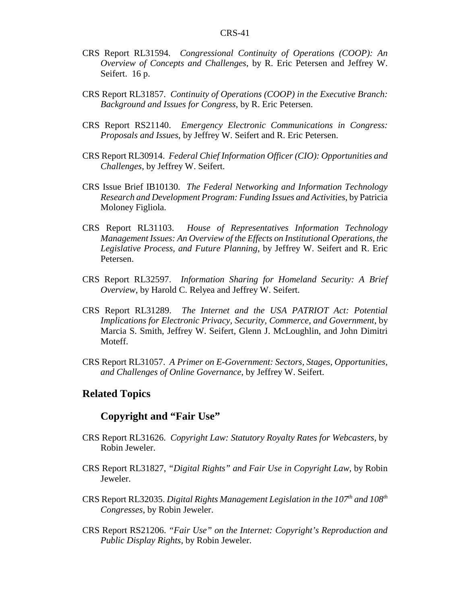- CRS Report RL31594. *Congressional Continuity of Operations (COOP): An Overview of Concepts and Challenges*, by R. Eric Petersen and Jeffrey W. Seifert. 16 p.
- CRS Report RL31857. *Continuity of Operations (COOP) in the Executive Branch: Background and Issues for Congress*, by R. Eric Petersen.
- CRS Report RS21140. *Emergency Electronic Communications in Congress: Proposals and Issues*, by Jeffrey W. Seifert and R. Eric Petersen.
- CRS Report RL30914. *Federal Chief Information Officer (CIO): Opportunities and Challenges*, by Jeffrey W. Seifert.
- CRS Issue Brief IB10130. *The Federal Networking and Information Technology Research and Development Program: Funding Issues and Activities*, by Patricia Moloney Figliola.
- CRS Report RL31103. *House of Representatives Information Technology Management Issues: An Overview of the Effects on Institutional Operations, the Legislative Process, and Future Planning*, by Jeffrey W. Seifert and R. Eric Petersen.
- CRS Report RL32597. *Information Sharing for Homeland Security: A Brief Overview*, by Harold C. Relyea and Jeffrey W. Seifert.
- CRS Report RL31289. *The Internet and the USA PATRIOT Act: Potential Implications for Electronic Privacy, Security, Commerce, and Government*, by Marcia S. Smith, Jeffrey W. Seifert, Glenn J. McLoughlin, and John Dimitri Moteff.
- CRS Report RL31057. *A Primer on E-Government: Sectors, Stages, Opportunities, and Challenges of Online Governance*, by Jeffrey W. Seifert.

#### **Related Topics**

#### **Copyright and "Fair Use"**

- CRS Report RL31626. *Copyright Law: Statutory Royalty Rates for Webcasters*, by Robin Jeweler.
- CRS Report RL31827, *"Digital Rights" and Fair Use in Copyright Law*, by Robin Jeweler.
- CRS Report RL32035. *Digital Rights Management Legislation in the 107<sup>th</sup> and 108<sup>th</sup> Congresses*, by Robin Jeweler.
- CRS Report RS21206. *"Fair Use" on the Internet: Copyright's Reproduction and Public Display Rights*, by Robin Jeweler.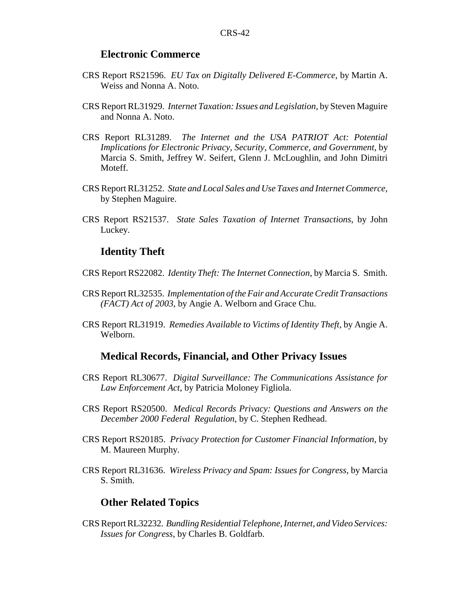#### **Electronic Commerce**

- CRS Report RS21596. *EU Tax on Digitally Delivered E-Commerce*, by Martin A. Weiss and Nonna A. Noto.
- CRS Report RL31929. *Internet Taxation: Issues and Legislation*, by Steven Maguire and Nonna A. Noto.
- CRS Report RL31289. *The Internet and the USA PATRIOT Act: Potential Implications for Electronic Privacy, Security, Commerce, and Government*, by Marcia S. Smith, Jeffrey W. Seifert, Glenn J. McLoughlin, and John Dimitri Moteff.
- CRS Report RL31252. *State and Local Sales and Use Taxes and Internet Commerce*, by Stephen Maguire.
- CRS Report RS21537. *State Sales Taxation of Internet Transactions*, by John Luckey.

#### **Identity Theft**

- CRS Report RS22082. *Identity Theft: The Internet Connection*, by Marcia S. Smith.
- CRS Report RL32535. *Implementation of the Fair and Accurate Credit Transactions (FACT) Act of 2003*, by Angie A. Welborn and Grace Chu.
- CRS Report RL31919. *Remedies Available to Victims of Identity Theft*, by Angie A. Welborn.

#### **Medical Records, Financial, and Other Privacy Issues**

- CRS Report RL30677. *Digital Surveillance: The Communications Assistance for Law Enforcement Act*, by Patricia Moloney Figliola.
- CRS Report RS20500. *Medical Records Privacy: Questions and Answers on the December 2000 Federal Regulation*, by C. Stephen Redhead.
- CRS Report RS20185. *Privacy Protection for Customer Financial Information*, by M. Maureen Murphy.
- CRS Report RL31636. *Wireless Privacy and Spam: Issues for Congress*, by Marcia S. Smith.

#### **Other Related Topics**

CRS Report RL32232. *Bundling Residential Telephone, Internet, and Video Services: Issues for Congress*, by Charles B. Goldfarb.